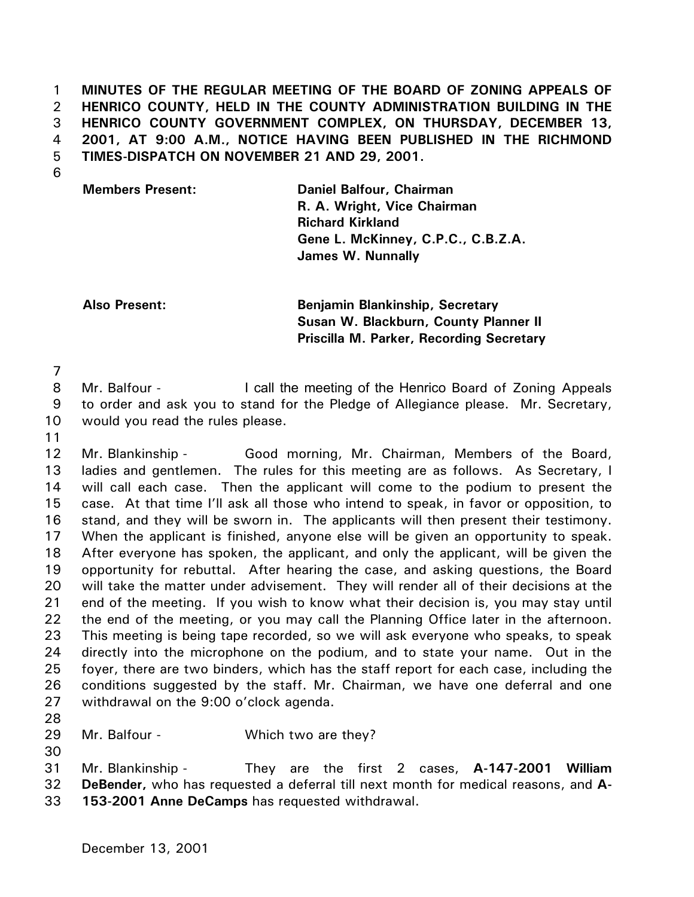1 2 3 4 5 **MINUTES OF THE REGULAR MEETING OF THE BOARD OF ZONING APPEALS OF HENRICO COUNTY, HELD IN THE COUNTY ADMINISTRATION BUILDING IN THE HENRICO COUNTY GOVERNMENT COMPLEX, ON THURSDAY, DECEMBER 13, 2001, AT 9:00 A.M., NOTICE HAVING BEEN PUBLISHED IN THE RICHMOND TIMES-DISPATCH ON NOVEMBER 21 AND 29, 2001.** 

6

**Members Present: Daniel Balfour, Chairman R. A. Wright, Vice Chairman Richard Kirkland Gene L. McKinney, C.P.C., C.B.Z.A. James W. Nunnally**

**Also Present: Benjamin Blankinship, Secretary Susan W. Blackburn, County Planner II Priscilla M. Parker, Recording Secretary** 

7

8 9 10 Mr. Balfour - The Call the meeting of the Henrico Board of Zoning Appeals to order and ask you to stand for the Pledge of Allegiance please. Mr. Secretary, would you read the rules please.

11

12 13 14 15 16 17 18 19 20 21 22 23 24 25 26 27 Mr. Blankinship - Good morning, Mr. Chairman, Members of the Board, ladies and gentlemen. The rules for this meeting are as follows. As Secretary, I will call each case. Then the applicant will come to the podium to present the case. At that time I'll ask all those who intend to speak, in favor or opposition, to stand, and they will be sworn in. The applicants will then present their testimony. When the applicant is finished, anyone else will be given an opportunity to speak. After everyone has spoken, the applicant, and only the applicant, will be given the opportunity for rebuttal. After hearing the case, and asking questions, the Board will take the matter under advisement. They will render all of their decisions at the end of the meeting. If you wish to know what their decision is, you may stay until the end of the meeting, or you may call the Planning Office later in the afternoon. This meeting is being tape recorded, so we will ask everyone who speaks, to speak directly into the microphone on the podium, and to state your name. Out in the foyer, there are two binders, which has the staff report for each case, including the conditions suggested by the staff. Mr. Chairman, we have one deferral and one withdrawal on the 9:00 o'clock agenda.

28

29 Mr. Balfour - Which two are they?

30

31 32 Mr. Blankinship - They are the first 2 cases, **A-147-2001 William DeBender,** who has requested a deferral till next month for medical reasons, and **A-**

33 **153-2001 Anne DeCamps** has requested withdrawal.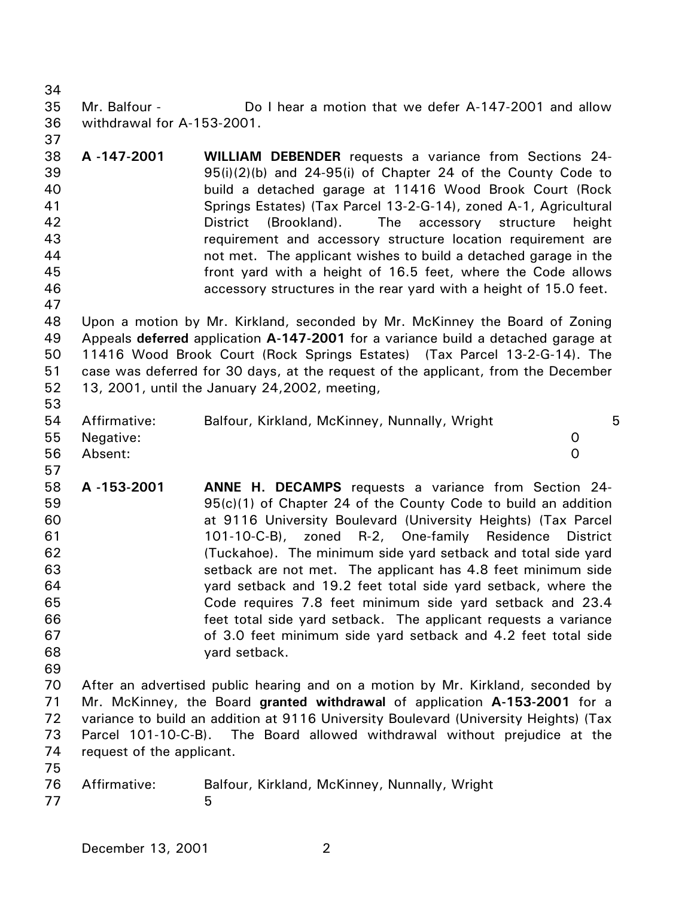34 35 36 Mr. Balfour - **Do I hear a motion that we defer A-147-2001** and allow withdrawal for A-153-2001.

- 38 39 40 41 42 43 44 45 46 **A -147-2001 WILLIAM DEBENDER** requests a variance from Sections 24- 95(i)(2)(b) and 24-95(i) of Chapter 24 of the County Code to build a detached garage at 11416 Wood Brook Court (Rock Springs Estates) (Tax Parcel 13-2-G-14), zoned A-1, Agricultural District (Brookland). The accessory structure height requirement and accessory structure location requirement are not met. The applicant wishes to build a detached garage in the front yard with a height of 16.5 feet, where the Code allows accessory structures in the rear yard with a height of 15.0 feet.
- 48 49 50 51 52 53 Upon a motion by Mr. Kirkland, seconded by Mr. McKinney the Board of Zoning Appeals **deferred** application **A-147-2001** for a variance build a detached garage at 11416 Wood Brook Court (Rock Springs Estates) (Tax Parcel 13-2-G-14). The case was deferred for 30 days, at the request of the applicant, from the December 13, 2001, until the January 24,2002, meeting,
- 54 55 56 Affirmative: Balfour, Kirkland, McKinney, Nunnally, Wright 5 Negative: 0 Absent: 0
- 58 59 60 61 62 63 64 65 66 67 68 **A -153-2001 ANNE H. DECAMPS** requests a variance from Section 24- 95(c)(1) of Chapter 24 of the County Code to build an addition at 9116 University Boulevard (University Heights) (Tax Parcel 101-10-C-B), zoned R-2, One-family Residence District (Tuckahoe). The minimum side yard setback and total side yard setback are not met. The applicant has 4.8 feet minimum side yard setback and 19.2 feet total side yard setback, where the Code requires 7.8 feet minimum side yard setback and 23.4 feet total side yard setback. The applicant requests a variance of 3.0 feet minimum side yard setback and 4.2 feet total side yard setback.
- 69

37

47

57

70 71 72 73 74 After an advertised public hearing and on a motion by Mr. Kirkland, seconded by Mr. McKinney, the Board **granted withdrawal** of application **A-153-2001** for a variance to build an addition at 9116 University Boulevard (University Heights) (Tax Parcel 101-10-C-B). The Board allowed withdrawal without prejudice at the request of the applicant.

- 75
- 76 77 Affirmative: Balfour, Kirkland, McKinney, Nunnally, Wright  $\sim$  5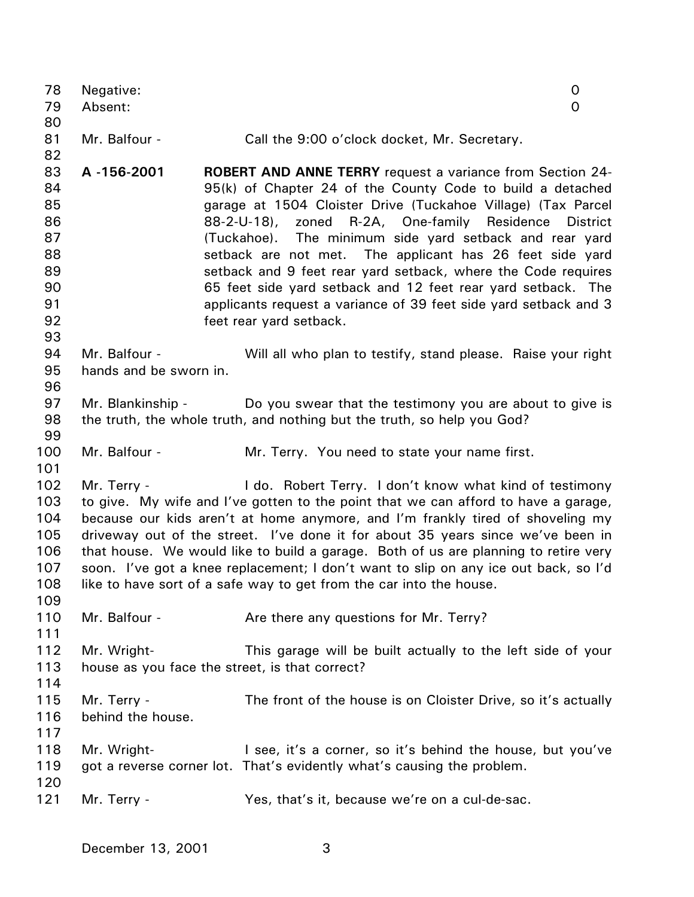| 78<br>79 | Negative:<br>Absent:                                                                | 0<br>$\mathsf{O}$                                                                                                          |  |  |  |
|----------|-------------------------------------------------------------------------------------|----------------------------------------------------------------------------------------------------------------------------|--|--|--|
| 80       |                                                                                     |                                                                                                                            |  |  |  |
| 81       | Mr. Balfour -                                                                       | Call the 9:00 o'clock docket, Mr. Secretary.                                                                               |  |  |  |
| 82       |                                                                                     |                                                                                                                            |  |  |  |
| 83       | A-156-2001                                                                          | ROBERT AND ANNE TERRY request a variance from Section 24-                                                                  |  |  |  |
| 84<br>85 |                                                                                     | 95(k) of Chapter 24 of the County Code to build a detached<br>garage at 1504 Cloister Drive (Tuckahoe Village) (Tax Parcel |  |  |  |
| 86       |                                                                                     | 88-2-U-18), zoned R-2A, One-family Residence District                                                                      |  |  |  |
| 87       |                                                                                     | (Tuckahoe). The minimum side yard setback and rear yard                                                                    |  |  |  |
| 88       |                                                                                     | setback are not met. The applicant has 26 feet side yard                                                                   |  |  |  |
| 89       |                                                                                     | setback and 9 feet rear yard setback, where the Code requires                                                              |  |  |  |
| 90       |                                                                                     | 65 feet side yard setback and 12 feet rear yard setback. The                                                               |  |  |  |
| 91       |                                                                                     | applicants request a variance of 39 feet side yard setback and 3                                                           |  |  |  |
| 92       |                                                                                     | feet rear yard setback.                                                                                                    |  |  |  |
| 93       |                                                                                     |                                                                                                                            |  |  |  |
| 94       | Mr. Balfour -                                                                       | Will all who plan to testify, stand please. Raise your right                                                               |  |  |  |
| 95       | hands and be sworn in.                                                              |                                                                                                                            |  |  |  |
| 96       |                                                                                     |                                                                                                                            |  |  |  |
| 97       | Mr. Blankinship -                                                                   | Do you swear that the testimony you are about to give is                                                                   |  |  |  |
| 98       |                                                                                     | the truth, the whole truth, and nothing but the truth, so help you God?                                                    |  |  |  |
| 99       |                                                                                     |                                                                                                                            |  |  |  |
| 100      | Mr. Balfour -                                                                       | Mr. Terry. You need to state your name first.                                                                              |  |  |  |
| 101      |                                                                                     |                                                                                                                            |  |  |  |
| 102      | Mr. Terry -                                                                         | I do. Robert Terry. I don't know what kind of testimony                                                                    |  |  |  |
| 103      |                                                                                     | to give. My wife and I've gotten to the point that we can afford to have a garage,                                         |  |  |  |
| 104      | because our kids aren't at home anymore, and I'm frankly tired of shoveling my      |                                                                                                                            |  |  |  |
| 105      | driveway out of the street. I've done it for about 35 years since we've been in     |                                                                                                                            |  |  |  |
| 106      | that house. We would like to build a garage. Both of us are planning to retire very |                                                                                                                            |  |  |  |
| 107      | soon. I've got a knee replacement; I don't want to slip on any ice out back, so I'd |                                                                                                                            |  |  |  |
| 108      |                                                                                     | like to have sort of a safe way to get from the car into the house.                                                        |  |  |  |
| 109      |                                                                                     |                                                                                                                            |  |  |  |
| 110      | Mr. Balfour -                                                                       | Are there any questions for Mr. Terry?                                                                                     |  |  |  |
| 111      |                                                                                     |                                                                                                                            |  |  |  |
| 112      | Mr. Wright-                                                                         | This garage will be built actually to the left side of your                                                                |  |  |  |
| 113      | house as you face the street, is that correct?                                      |                                                                                                                            |  |  |  |
| 114      |                                                                                     |                                                                                                                            |  |  |  |
| 115      | Mr. Terry -                                                                         | The front of the house is on Cloister Drive, so it's actually                                                              |  |  |  |
| 116      | behind the house.                                                                   |                                                                                                                            |  |  |  |
| 117      |                                                                                     |                                                                                                                            |  |  |  |
| 118      | Mr. Wright-                                                                         | I see, it's a corner, so it's behind the house, but you've                                                                 |  |  |  |
| 119      |                                                                                     | got a reverse corner lot. That's evidently what's causing the problem.                                                     |  |  |  |
| 120      |                                                                                     |                                                                                                                            |  |  |  |
| 121      | Mr. Terry -                                                                         | Yes, that's it, because we're on a cul-de-sac.                                                                             |  |  |  |
|          |                                                                                     |                                                                                                                            |  |  |  |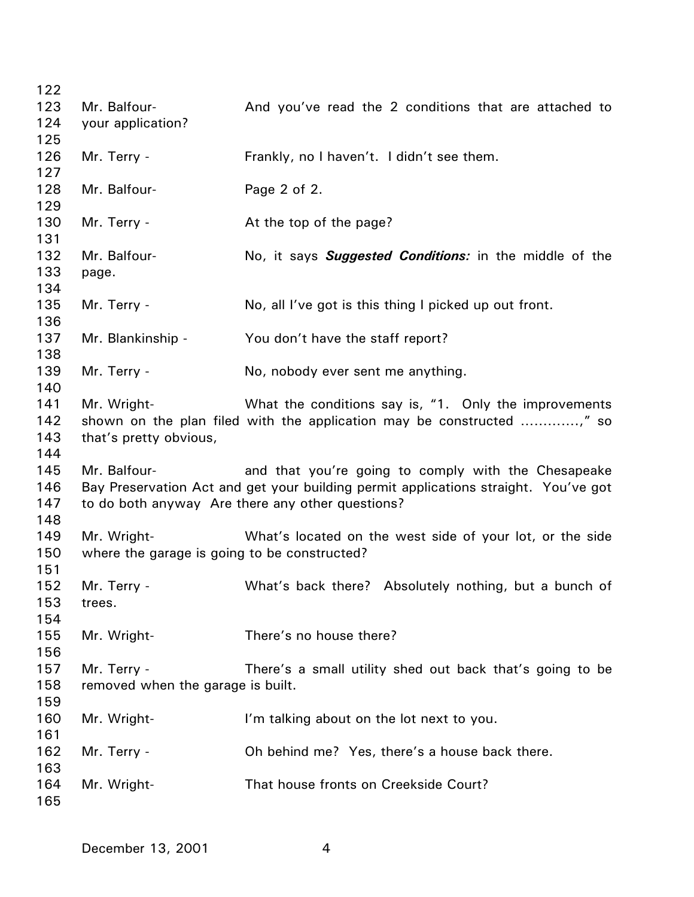| 122 |                                              |                                                                                     |
|-----|----------------------------------------------|-------------------------------------------------------------------------------------|
| 123 | Mr. Balfour-                                 | And you've read the 2 conditions that are attached to                               |
| 124 | your application?                            |                                                                                     |
| 125 |                                              |                                                                                     |
| 126 | Mr. Terry -                                  | Frankly, no I haven't. I didn't see them.                                           |
| 127 |                                              |                                                                                     |
| 128 | Mr. Balfour-                                 | Page 2 of 2.                                                                        |
| 129 |                                              |                                                                                     |
| 130 | Mr. Terry -                                  | At the top of the page?                                                             |
| 131 |                                              |                                                                                     |
| 132 | Mr. Balfour-                                 | No, it says <b>Suggested Conditions</b> : in the middle of the                      |
| 133 | page.                                        |                                                                                     |
| 134 |                                              |                                                                                     |
| 135 | Mr. Terry -                                  | No, all I've got is this thing I picked up out front.                               |
| 136 |                                              |                                                                                     |
| 137 | Mr. Blankinship -                            | You don't have the staff report?                                                    |
| 138 |                                              |                                                                                     |
| 139 | Mr. Terry -                                  | No, nobody ever sent me anything.                                                   |
| 140 |                                              |                                                                                     |
| 141 | Mr. Wright-                                  | What the conditions say is, "1. Only the improvements                               |
| 142 |                                              |                                                                                     |
| 143 | that's pretty obvious,                       |                                                                                     |
| 144 |                                              |                                                                                     |
| 145 | Mr. Balfour-                                 |                                                                                     |
| 146 |                                              | and that you're going to comply with the Chesapeake                                 |
| 147 |                                              | Bay Preservation Act and get your building permit applications straight. You've got |
| 148 |                                              | to do both anyway Are there any other questions?                                    |
|     |                                              |                                                                                     |
| 149 | Mr. Wright-                                  | What's located on the west side of your lot, or the side                            |
| 150 | where the garage is going to be constructed? |                                                                                     |
| 151 |                                              |                                                                                     |
| 152 | Mr. Terry -                                  | What's back there? Absolutely nothing, but a bunch of                               |
| 153 | trees.                                       |                                                                                     |
| 154 |                                              |                                                                                     |
| 155 | Mr. Wright-                                  | There's no house there?                                                             |
| 156 |                                              |                                                                                     |
| 157 | Mr. Terry -                                  | There's a small utility shed out back that's going to be                            |
| 158 | removed when the garage is built.            |                                                                                     |
| 159 |                                              |                                                                                     |
| 160 | Mr. Wright-                                  | I'm talking about on the lot next to you.                                           |
| 161 |                                              |                                                                                     |
| 162 | Mr. Terry -                                  | Oh behind me? Yes, there's a house back there.                                      |
| 163 |                                              |                                                                                     |
| 164 | Mr. Wright-                                  | That house fronts on Creekside Court?                                               |
| 165 |                                              |                                                                                     |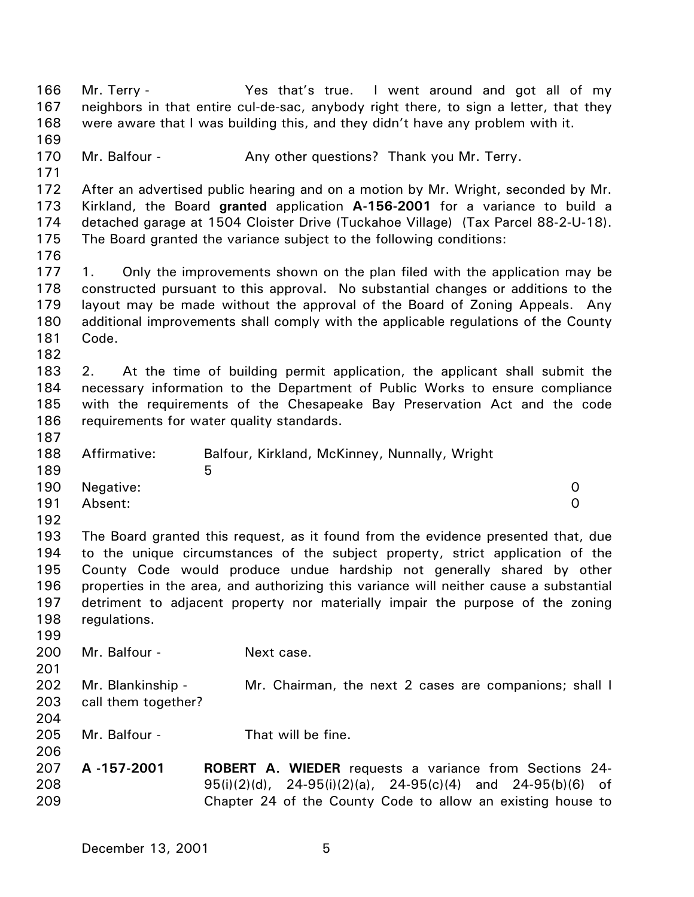166 167 168 169 170 171 172 173 174 175 176 177 178 179 180 181 182 183 184 185 186 187 188 189 190 191 192 193 194 195 196 197 198 199 200 201 202 203 204 205 206 207 208 209 Mr. Terry - Yes that's true. I went around and got all of my neighbors in that entire cul-de-sac, anybody right there, to sign a letter, that they were aware that I was building this, and they didn't have any problem with it. Mr. Balfour - Any other questions? Thank you Mr. Terry. After an advertised public hearing and on a motion by Mr. Wright, seconded by Mr. Kirkland, the Board **granted** application **A-156-2001** for a variance to build a detached garage at 1504 Cloister Drive (Tuckahoe Village) (Tax Parcel 88-2-U-18). The Board granted the variance subject to the following conditions: 1. Only the improvements shown on the plan filed with the application may be constructed pursuant to this approval. No substantial changes or additions to the layout may be made without the approval of the Board of Zoning Appeals. Any additional improvements shall comply with the applicable regulations of the County Code. 2. At the time of building permit application, the applicant shall submit the necessary information to the Department of Public Works to ensure compliance with the requirements of the Chesapeake Bay Preservation Act and the code requirements for water quality standards. Affirmative: Balfour, Kirkland, McKinney, Nunnally, Wright  $5<sub>5</sub>$ Negative: 0 Absent: 0 The Board granted this request, as it found from the evidence presented that, due to the unique circumstances of the subject property, strict application of the County Code would produce undue hardship not generally shared by other properties in the area, and authorizing this variance will neither cause a substantial detriment to adjacent property nor materially impair the purpose of the zoning regulations. Mr. Balfour - Next case. Mr. Blankinship - Mr. Chairman, the next 2 cases are companions; shall I call them together? Mr. Balfour - That will be fine. **A -157-2001 ROBERT A. WIEDER** requests a variance from Sections 24- 95(i)(2)(d), 24-95(i)(2)(a), 24-95(c)(4) and 24-95(b)(6) of Chapter 24 of the County Code to allow an existing house to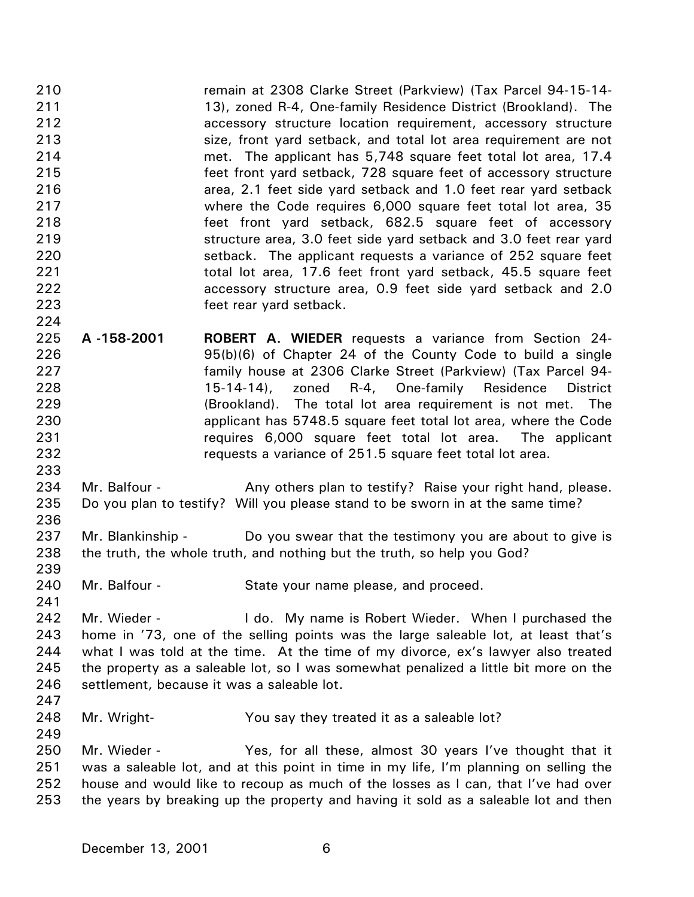210 211 212 213 214 215 216 217 218 219 220 221 222 223 224 remain at 2308 Clarke Street (Parkview) (Tax Parcel 94-15-14- 13), zoned R-4, One-family Residence District (Brookland). The accessory structure location requirement, accessory structure size, front yard setback, and total lot area requirement are not met. The applicant has 5,748 square feet total lot area, 17.4 feet front yard setback, 728 square feet of accessory structure area, 2.1 feet side yard setback and 1.0 feet rear yard setback where the Code requires 6,000 square feet total lot area, 35 feet front yard setback, 682.5 square feet of accessory structure area, 3.0 feet side yard setback and 3.0 feet rear yard setback. The applicant requests a variance of 252 square feet total lot area, 17.6 feet front yard setback, 45.5 square feet accessory structure area, 0.9 feet side yard setback and 2.0 feet rear yard setback.

225 226 227 228 229 230 231 232 **A -158-2001 ROBERT A. WIEDER** requests a variance from Section 24- 95(b)(6) of Chapter 24 of the County Code to build a single family house at 2306 Clarke Street (Parkview) (Tax Parcel 94- 15-14-14), zoned R-4, One-family Residence District (Brookland). The total lot area requirement is not met. The applicant has 5748.5 square feet total lot area, where the Code requires 6,000 square feet total lot area. The applicant requests a variance of 251.5 square feet total lot area.

234 235 Mr. Balfour - **Any others plan to testify?** Raise your right hand, please. Do you plan to testify? Will you please stand to be sworn in at the same time?

- 237 238 Mr. Blankinship - Do you swear that the testimony you are about to give is the truth, the whole truth, and nothing but the truth, so help you God?
- 240 Mr. Balfour - State your name please, and proceed.
- 242 243 244 245 246 Mr. Wieder - The Letter My name is Robert Wieder. When I purchased the home in '73, one of the selling points was the large saleable lot, at least that's what I was told at the time. At the time of my divorce, ex's lawyer also treated the property as a saleable lot, so I was somewhat penalized a little bit more on the settlement, because it was a saleable lot.
- 247 248

249

233

236

239

241

Mr. Wright- You say they treated it as a saleable lot?

250 251 252 253 Mr. Wieder - Yes, for all these, almost 30 years I've thought that it was a saleable lot, and at this point in time in my life, I'm planning on selling the house and would like to recoup as much of the losses as I can, that I've had over the years by breaking up the property and having it sold as a saleable lot and then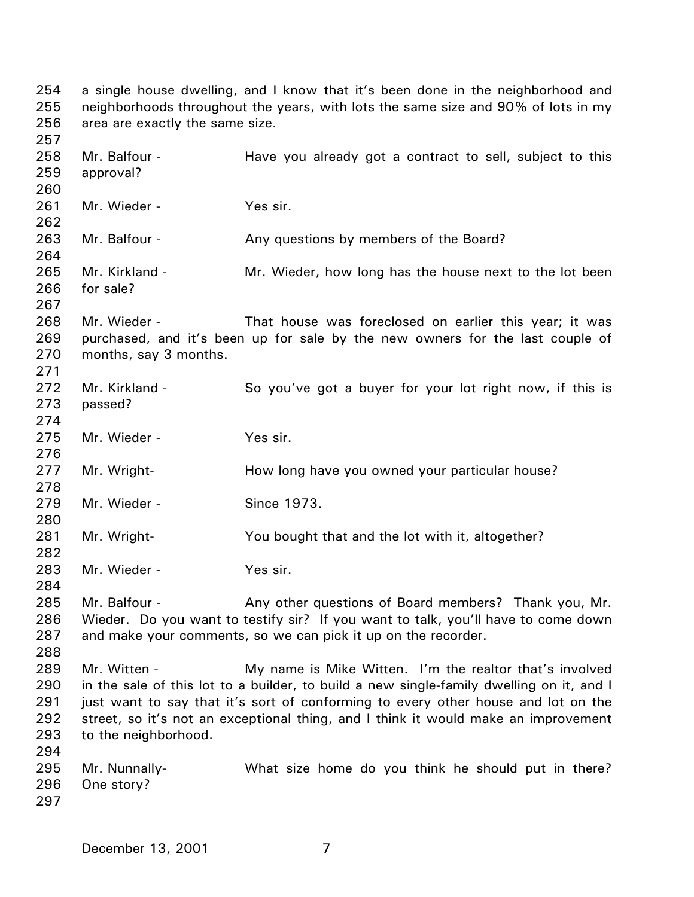254 255 256 257 258 259 260 261 262 263 264 265 266 267 268 269 270 271 272 273 274 275 276 277 278 279 280 281 282 283 284 285 286 287 288 289 290 291 292 293 294 295 296 297 a single house dwelling, and I know that it's been done in the neighborhood and neighborhoods throughout the years, with lots the same size and 90% of lots in my area are exactly the same size. Mr. Balfour - The Have you already got a contract to sell, subject to this approval? Mr. Wieder - Yes sir. Mr. Balfour - The Any questions by members of the Board? Mr. Kirkland - The Mr. Wieder, how long has the house next to the lot been for sale? Mr. Wieder - That house was foreclosed on earlier this year; it was purchased, and it's been up for sale by the new owners for the last couple of months, say 3 months. Mr. Kirkland - So you've got a buyer for your lot right now, if this is passed? Mr. Wieder - Yes sir. Mr. Wright- **How long have you owned your particular house?** Mr. Wieder - Since 1973. Mr. Wright- You bought that and the lot with it, altogether? Mr. Wieder - Yes sir. Mr. Balfour - Any other questions of Board members? Thank you, Mr. Wieder. Do you want to testify sir? If you want to talk, you'll have to come down and make your comments, so we can pick it up on the recorder. Mr. Witten - The My name is Mike Witten. I'm the realtor that's involved in the sale of this lot to a builder, to build a new single-family dwelling on it, and I just want to say that it's sort of conforming to every other house and lot on the street, so it's not an exceptional thing, and I think it would make an improvement to the neighborhood. Mr. Nunnally- What size home do you think he should put in there? One story?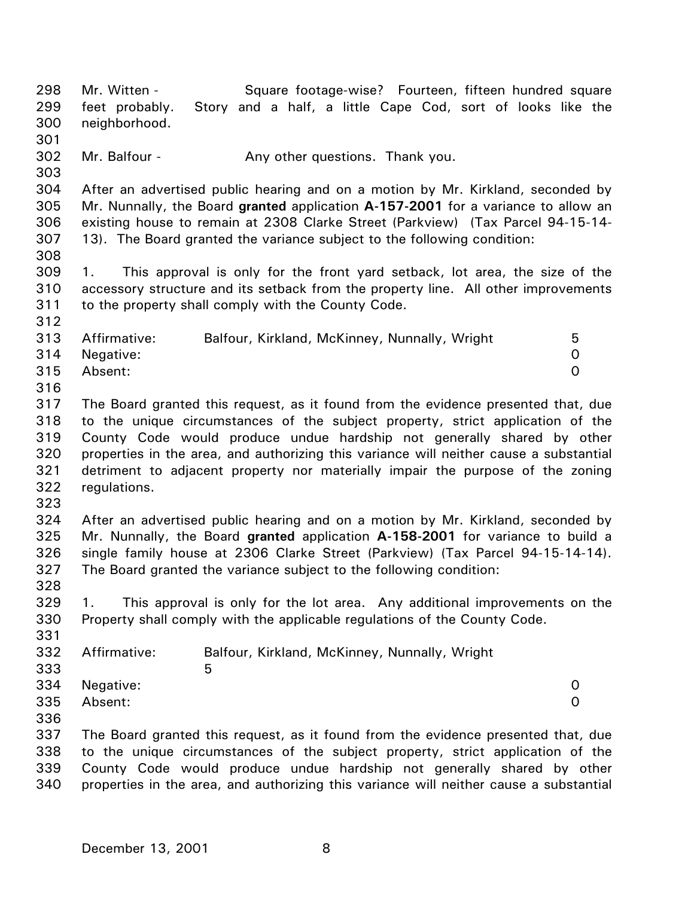298 299 300 301 302 303 304 305 306 307 308 309 310 311 312 313 314 315 316 317 318 319 320 321 322 323 324 325 326 327 328 329 330 331 332 333 334 335 336 337 338 339 340 Mr. Witten - Square footage-wise? Fourteen, fifteen hundred square feet probably. Story and a half, a little Cape Cod, sort of looks like the neighborhood. Mr. Balfour - Any other questions. Thank you. After an advertised public hearing and on a motion by Mr. Kirkland, seconded by Mr. Nunnally, the Board **granted** application **A-157-2001** for a variance to allow an existing house to remain at 2308 Clarke Street (Parkview) (Tax Parcel 94-15-14- 13). The Board granted the variance subject to the following condition: 1. This approval is only for the front yard setback, lot area, the size of the accessory structure and its setback from the property line. All other improvements to the property shall comply with the County Code. Affirmative: Balfour, Kirkland, McKinney, Nunnally, Wright 5 Negative: 0 Absent: 0 The Board granted this request, as it found from the evidence presented that, due to the unique circumstances of the subject property, strict application of the County Code would produce undue hardship not generally shared by other properties in the area, and authorizing this variance will neither cause a substantial detriment to adjacent property nor materially impair the purpose of the zoning regulations. After an advertised public hearing and on a motion by Mr. Kirkland, seconded by Mr. Nunnally, the Board **granted** application **A-158-2001** for variance to build a single family house at 2306 Clarke Street (Parkview) (Tax Parcel 94-15-14-14). The Board granted the variance subject to the following condition: 1. This approval is only for the lot area. Any additional improvements on the Property shall comply with the applicable regulations of the County Code. Affirmative: Balfour, Kirkland, McKinney, Nunnally, Wright  $5<sub>5</sub>$ Negative: 0 Absent: 0 The Board granted this request, as it found from the evidence presented that, due to the unique circumstances of the subject property, strict application of the County Code would produce undue hardship not generally shared by other properties in the area, and authorizing this variance will neither cause a substantial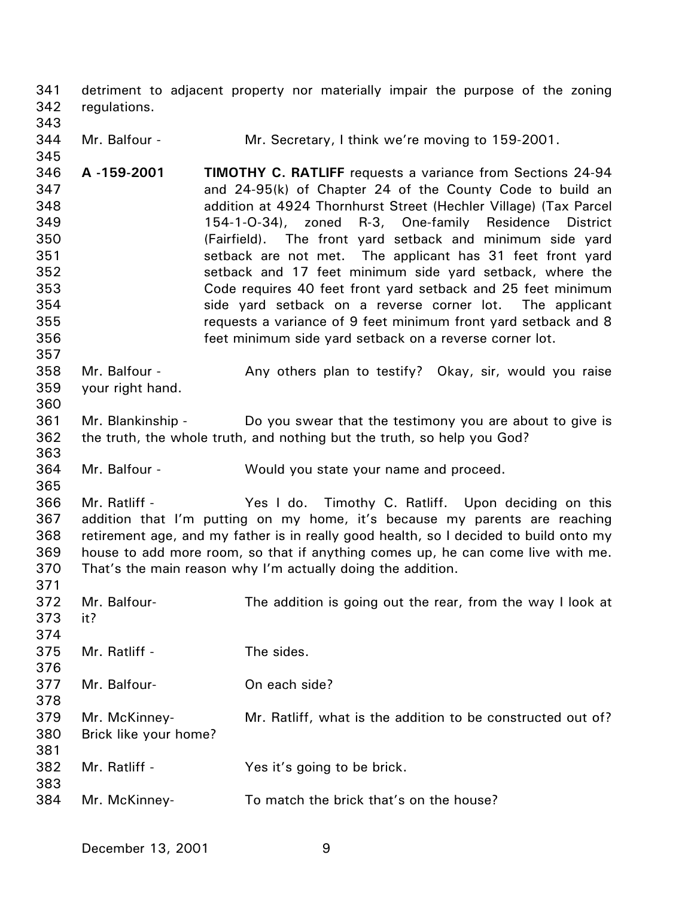341 342 detriment to adjacent property nor materially impair the purpose of the zoning regulations.

343

345

357

360

363

365

371

344 Mr. Balfour - **Mr. Secretary, I think we're moving to 159-2001.** 

346 347 348 349 350 351 352 353 354 355 356 **A -159-2001 TIMOTHY C. RATLIFF** requests a variance from Sections 24-94 and 24-95(k) of Chapter 24 of the County Code to build an addition at 4924 Thornhurst Street (Hechler Village) (Tax Parcel 154-1-O-34), zoned R-3, One-family Residence District (Fairfield). The front yard setback and minimum side yard setback are not met. The applicant has 31 feet front yard setback and 17 feet minimum side yard setback, where the Code requires 40 feet front yard setback and 25 feet minimum side yard setback on a reverse corner lot. The applicant requests a variance of 9 feet minimum front yard setback and 8 feet minimum side yard setback on a reverse corner lot.

358 359 Mr. Balfour - Any others plan to testify? Okay, sir, would you raise your right hand.

361 362 Mr. Blankinship - Do you swear that the testimony you are about to give is the truth, the whole truth, and nothing but the truth, so help you God?

364 Mr. Balfour - Would you state your name and proceed.

366 367 368 369 370 Mr. Ratliff - The Yes I do. Timothy C. Ratliff. Upon deciding on this addition that I'm putting on my home, it's because my parents are reaching retirement age, and my father is in really good health, so I decided to build onto my house to add more room, so that if anything comes up, he can come live with me. That's the main reason why I'm actually doing the addition.

| 372 | Mr. Balfour-          | The addition is going out the rear, from the way I look at  |
|-----|-----------------------|-------------------------------------------------------------|
| 373 | it?                   |                                                             |
| 374 |                       |                                                             |
| 375 | Mr. Ratliff -         | The sides.                                                  |
| 376 |                       |                                                             |
| 377 | Mr. Balfour-          | On each side?                                               |
| 378 |                       |                                                             |
| 379 | Mr. McKinney-         | Mr. Ratliff, what is the addition to be constructed out of? |
| 380 | Brick like your home? |                                                             |
| 381 |                       |                                                             |
| 382 | Mr. Ratliff -         | Yes it's going to be brick.                                 |
| 383 |                       |                                                             |
| 384 | Mr. McKinney-         | To match the brick that's on the house?                     |
|     |                       |                                                             |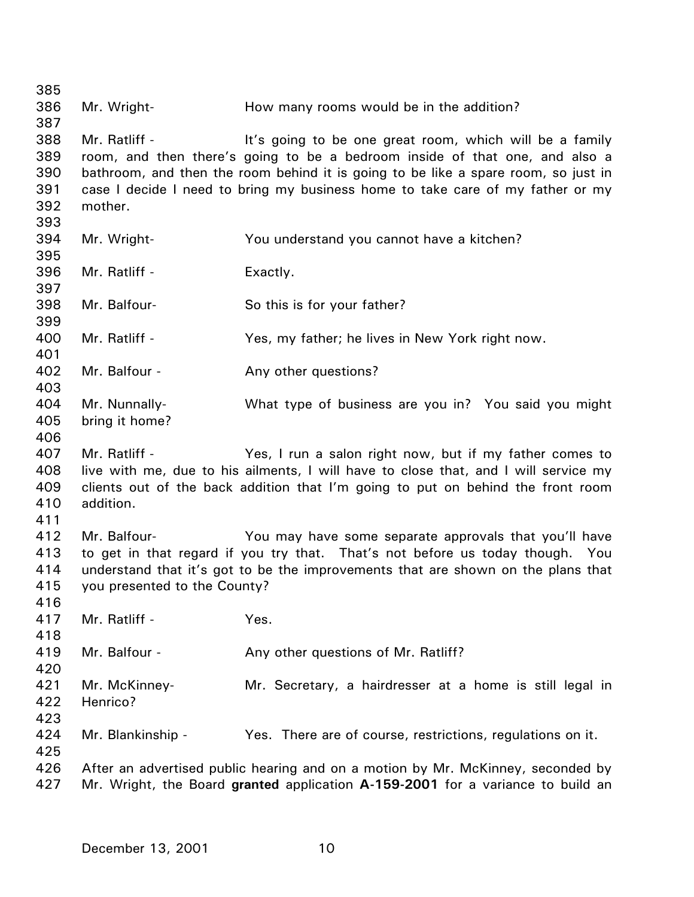385 386 387 388 389 390 391 392 393 394 395 396 397 398 399 400 401 402 403 404 405 406 407 408 409 410 411 412 413 414 415 416 417 418 419 420 421 422 423 424 425 426 427 Mr. Wright- **How many rooms would be in the addition?** Mr. Ratliff - The Muslim of the same of the one great room, which will be a family room, and then there's going to be a bedroom inside of that one, and also a bathroom, and then the room behind it is going to be like a spare room, so just in case I decide I need to bring my business home to take care of my father or my mother. Mr. Wright- You understand you cannot have a kitchen? Mr. Ratliff - Exactly. Mr. Balfour- So this is for your father? Mr. Ratliff - Yes, my father; he lives in New York right now. Mr. Balfour - The Any other questions? Mr. Nunnally- What type of business are you in? You said you might bring it home? Mr. Ratliff - Yes, I run a salon right now, but if my father comes to live with me, due to his ailments, I will have to close that, and I will service my clients out of the back addition that I'm going to put on behind the front room addition. Mr. Balfour- You may have some separate approvals that you'll have to get in that regard if you try that. That's not before us today though. You understand that it's got to be the improvements that are shown on the plans that you presented to the County? Mr. Ratliff - Yes. Mr. Balfour - Any other questions of Mr. Ratliff? Mr. McKinney- Mr. Secretary, a hairdresser at a home is still legal in Henrico? Mr. Blankinship - Yes. There are of course, restrictions, regulations on it. After an advertised public hearing and on a motion by Mr. McKinney, seconded by Mr. Wright, the Board **granted** application **A-159-2001** for a variance to build an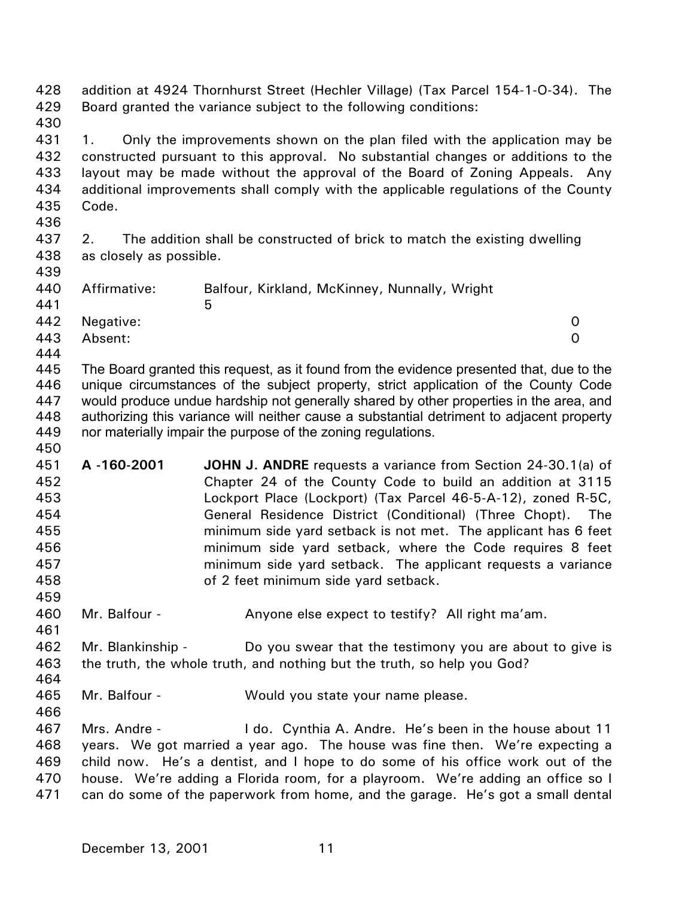428 429 430 431 432 433 434 435 436 437 438 439 440 441 442 443 444 445 446 447 448 449 450 451 452 453 454 455 456 457 458 459 460 461 462 463 464 465 466 467 468 469 470 471 addition at 4924 Thornhurst Street (Hechler Village) (Tax Parcel 154-1-O-34). The Board granted the variance subject to the following conditions: 1. Only the improvements shown on the plan filed with the application may be constructed pursuant to this approval. No substantial changes or additions to the layout may be made without the approval of the Board of Zoning Appeals. Any additional improvements shall comply with the applicable regulations of the County Code. 2. The addition shall be constructed of brick to match the existing dwelling as closely as possible. Affirmative: Balfour, Kirkland, McKinney, Nunnally, Wright  $\sim$  5 Negative: 0 Absent: 0 The Board granted this request, as it found from the evidence presented that, due to the unique circumstances of the subject property, strict application of the County Code would produce undue hardship not generally shared by other properties in the area, and authorizing this variance will neither cause a substantial detriment to adjacent property nor materially impair the purpose of the zoning regulations. **A -160-2001 JOHN J. ANDRE** requests a variance from Section 24-30.1(a) of Chapter 24 of the County Code to build an addition at 3115 Lockport Place (Lockport) (Tax Parcel 46-5-A-12), zoned R-5C, General Residence District (Conditional) (Three Chopt). The minimum side yard setback is not met. The applicant has 6 feet minimum side yard setback, where the Code requires 8 feet minimum side yard setback. The applicant requests a variance of 2 feet minimum side yard setback. Mr. Balfour - Anyone else expect to testify? All right ma'am. Mr. Blankinship - Do you swear that the testimony you are about to give is the truth, the whole truth, and nothing but the truth, so help you God? Mr. Balfour - Would you state your name please. Mrs. Andre - I do. Cynthia A. Andre. He's been in the house about 11 years. We got married a year ago. The house was fine then. We're expecting a child now. He's a dentist, and I hope to do some of his office work out of the house. We're adding a Florida room, for a playroom. We're adding an office so I can do some of the paperwork from home, and the garage. He's got a small dental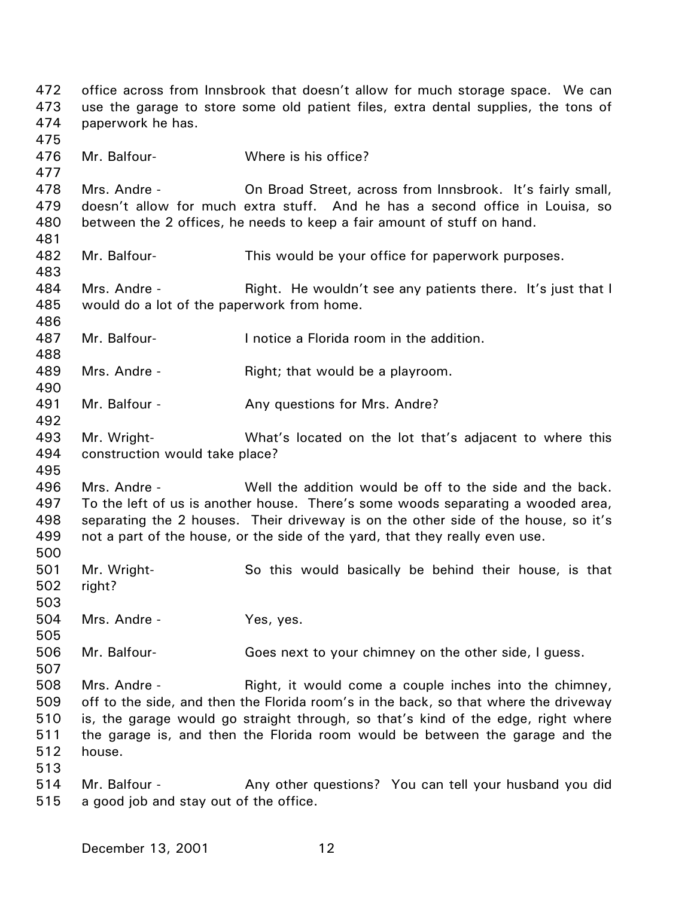472 473 474 475 476 477 478 479 480 481 482 483 484 485 486 487 488 489 490 491 492 493 494 495 496 497 498 499 500 501 502 503 504 505 506 507 508 509 510 511 512 513 514 515 office across from Innsbrook that doesn't allow for much storage space. We can use the garage to store some old patient files, extra dental supplies, the tons of paperwork he has. Mr. Balfour-<br>
Where is his office? Mrs. Andre - On Broad Street, across from Innsbrook. It's fairly small, doesn't allow for much extra stuff. And he has a second office in Louisa, so between the 2 offices, he needs to keep a fair amount of stuff on hand. Mr. Balfour- This would be your office for paperwork purposes. Mrs. Andre - The Right. He wouldn't see any patients there. It's just that I would do a lot of the paperwork from home. Mr. Balfour- I notice a Florida room in the addition. Mrs. Andre - Right; that would be a playroom. Mr. Balfour - Any questions for Mrs. Andre? Mr. Wright- What's located on the lot that's adjacent to where this construction would take place? Mrs. Andre - The Mell the addition would be off to the side and the back. To the left of us is another house. There's some woods separating a wooded area, separating the 2 houses. Their driveway is on the other side of the house, so it's not a part of the house, or the side of the yard, that they really even use. Mr. Wright- So this would basically be behind their house, is that right? Mrs. Andre - Yes, yes. Mr. Balfour- Goes next to your chimney on the other side, I guess. Mrs. Andre - Right, it would come a couple inches into the chimney, off to the side, and then the Florida room's in the back, so that where the driveway is, the garage would go straight through, so that's kind of the edge, right where the garage is, and then the Florida room would be between the garage and the house. Mr. Balfour - Any other questions? You can tell your husband you did a good job and stay out of the office.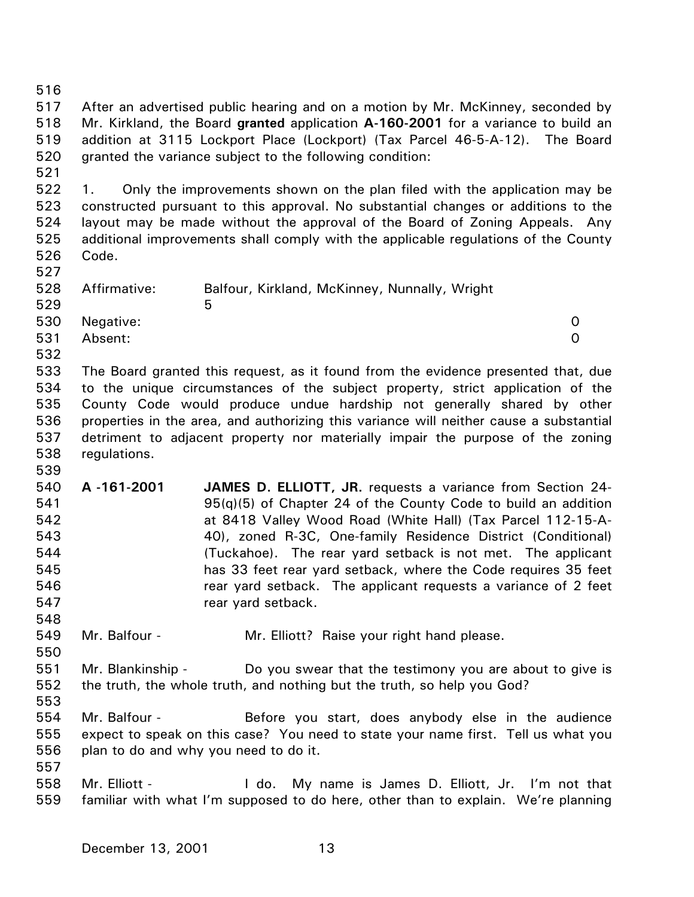516 517 518 519 520 521 522 523 524 525 526 527 528 529 530 531 532 533 534 535 536 537 538 539 540 541 542 543 544 545 546 547 548 549 550 551 552 553 554 555 556 557 558 559 After an advertised public hearing and on a motion by Mr. McKinney, seconded by Mr. Kirkland, the Board **granted** application **A-160-2001** for a variance to build an addition at 3115 Lockport Place (Lockport) (Tax Parcel 46-5-A-12). The Board granted the variance subject to the following condition: 1. Only the improvements shown on the plan filed with the application may be constructed pursuant to this approval. No substantial changes or additions to the layout may be made without the approval of the Board of Zoning Appeals. Any additional improvements shall comply with the applicable regulations of the County Code. Affirmative: Balfour, Kirkland, McKinney, Nunnally, Wright  $\sim$  5 Negative: 0 Absent: 0 The Board granted this request, as it found from the evidence presented that, due to the unique circumstances of the subject property, strict application of the County Code would produce undue hardship not generally shared by other properties in the area, and authorizing this variance will neither cause a substantial detriment to adjacent property nor materially impair the purpose of the zoning regulations. **A -161-2001 JAMES D. ELLIOTT, JR.** requests a variance from Section 24- 95(q)(5) of Chapter 24 of the County Code to build an addition at 8418 Valley Wood Road (White Hall) (Tax Parcel 112-15-A-40), zoned R-3C, One-family Residence District (Conditional) (Tuckahoe). The rear yard setback is not met. The applicant has 33 feet rear yard setback, where the Code requires 35 feet rear yard setback. The applicant requests a variance of 2 feet rear yard setback. Mr. Balfour - Mr. Elliott? Raise your right hand please. Mr. Blankinship - Do you swear that the testimony you are about to give is the truth, the whole truth, and nothing but the truth, so help you God? Mr. Balfour - Before you start, does anybody else in the audience expect to speak on this case? You need to state your name first. Tell us what you plan to do and why you need to do it. Mr. Elliott - The My name is James D. Elliott, Jr. I'm not that familiar with what I'm supposed to do here, other than to explain. We're planning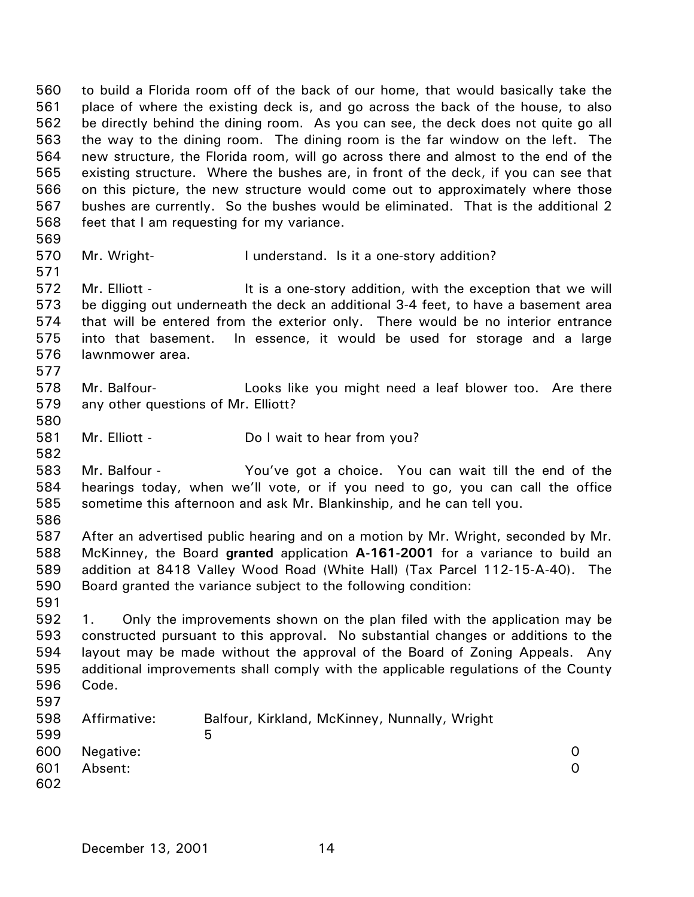560 561 562 563 564 565 566 567 568 569 to build a Florida room off of the back of our home, that would basically take the place of where the existing deck is, and go across the back of the house, to also be directly behind the dining room. As you can see, the deck does not quite go all the way to the dining room. The dining room is the far window on the left. The new structure, the Florida room, will go across there and almost to the end of the existing structure. Where the bushes are, in front of the deck, if you can see that on this picture, the new structure would come out to approximately where those bushes are currently. So the bushes would be eliminated. That is the additional 2 feet that I am requesting for my variance.

- 570 Mr. Wright- **I** understand. Is it a one-story addition?
- 572 573 574 575 576 Mr. Elliott - The state one-story addition, with the exception that we will be digging out underneath the deck an additional 3-4 feet, to have a basement area that will be entered from the exterior only. There would be no interior entrance into that basement. In essence, it would be used for storage and a large lawnmower area.
- 578 579 Mr. Balfour- Looks like you might need a leaf blower too. Are there any other questions of Mr. Elliott?
- 581 Mr. Elliott - Do I wait to hear from you?
- 583 584 585 Mr. Balfour - You've got a choice. You can wait till the end of the hearings today, when we'll vote, or if you need to go, you can call the office sometime this afternoon and ask Mr. Blankinship, and he can tell you.
- 586

591

571

577

580

582

587 588 589 590 After an advertised public hearing and on a motion by Mr. Wright, seconded by Mr. McKinney, the Board **granted** application **A-161-2001** for a variance to build an addition at 8418 Valley Wood Road (White Hall) (Tax Parcel 112-15-A-40). The Board granted the variance subject to the following condition:

592 593 594 595 596 597 1. Only the improvements shown on the plan filed with the application may be constructed pursuant to this approval. No substantial changes or additions to the layout may be made without the approval of the Board of Zoning Appeals. Any additional improvements shall comply with the applicable regulations of the County Code.

| 598 | Affirmative: | Balfour, Kirkland, McKinney, Nunnally, Wright |          |
|-----|--------------|-----------------------------------------------|----------|
| 599 |              | 5                                             |          |
| 600 | Negative:    |                                               | $\Omega$ |
| 601 | Absent:      |                                               | $\Omega$ |
| 602 |              |                                               |          |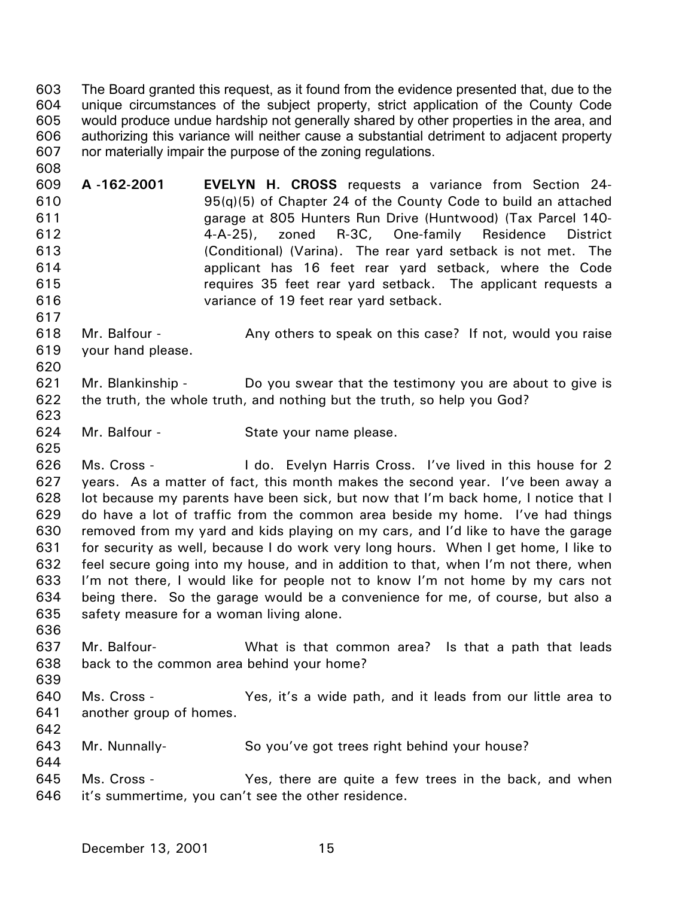The Board granted this request, as it found from the evidence presented that, due to the unique circumstances of the subject property, strict application of the County Code would produce undue hardship not generally shared by other properties in the area, and authorizing this variance will neither cause a substantial detriment to adjacent property nor materially impair the purpose of the zoning regulations. 603 604 605 606 607

609 610 611 612 613 614 615 616 **A -162-2001 EVELYN H. CROSS** requests a variance from Section 24- 95(q)(5) of Chapter 24 of the County Code to build an attached garage at 805 Hunters Run Drive (Huntwood) (Tax Parcel 140- 4-A-25), zoned R-3C, One-family Residence District (Conditional) (Varina). The rear yard setback is not met. The applicant has 16 feet rear yard setback, where the Code requires 35 feet rear yard setback. The applicant requests a variance of 19 feet rear yard setback.

618 619 Mr. Balfour - Any others to speak on this case? If not, would you raise your hand please.

- 621 622 623 Mr. Blankinship - Do you swear that the testimony you are about to give is the truth, the whole truth, and nothing but the truth, so help you God?
- 624 Mr. Balfour - State your name please.

626 627 628 629 630 631 632 633 634 635 Ms. Cross - The Lido. Evelyn Harris Cross. I've lived in this house for 2 years. As a matter of fact, this month makes the second year. I've been away a lot because my parents have been sick, but now that I'm back home, I notice that I do have a lot of traffic from the common area beside my home. I've had things removed from my yard and kids playing on my cars, and I'd like to have the garage for security as well, because I do work very long hours. When I get home, I like to feel secure going into my house, and in addition to that, when I'm not there, when I'm not there, I would like for people not to know I'm not home by my cars not being there. So the garage would be a convenience for me, of course, but also a safety measure for a woman living alone.

- 637 638 Mr. Balfour- What is that common area? Is that a path that leads back to the common area behind your home?
- 639

642

644

636

608

617

620

625

640 641 Ms. Cross - Yes, it's a wide path, and it leads from our little area to another group of homes.

643 Mr. Nunnally- So you've got trees right behind your house?

645 646 Ms. Cross - Yes, there are quite a few trees in the back, and when it's summertime, you can't see the other residence.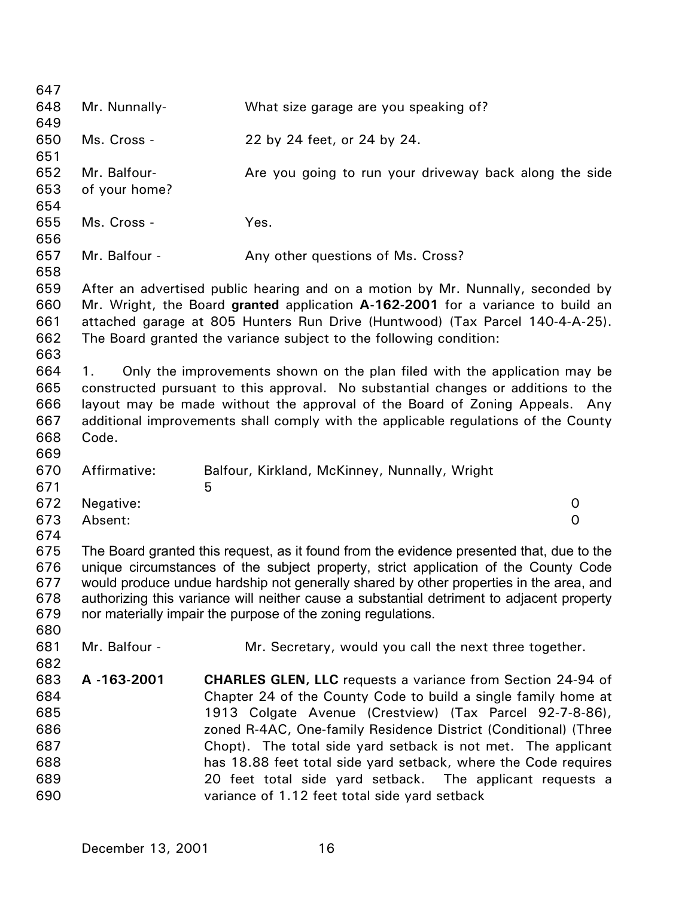647 648 649 650 651 652 653 654 655 656 657 658 659 660 661 662 663 664 665 666 667 668 669 670 671 672 673 674 675 676 677 678 679 680 681 682 683 684 685 686 687 688 689 690 Mr. Nunnally- What size garage are you speaking of? Ms. Cross - 22 by 24 feet, or 24 by 24. Mr. Balfour- **Are you going to run your driveway back along the side** of your home? Ms. Cross - Yes. Mr. Balfour - Any other questions of Ms. Cross? After an advertised public hearing and on a motion by Mr. Nunnally, seconded by Mr. Wright, the Board **granted** application **A-162-2001** for a variance to build an attached garage at 805 Hunters Run Drive (Huntwood) (Tax Parcel 140-4-A-25). The Board granted the variance subject to the following condition: 1. Only the improvements shown on the plan filed with the application may be constructed pursuant to this approval. No substantial changes or additions to the layout may be made without the approval of the Board of Zoning Appeals. Any additional improvements shall comply with the applicable regulations of the County Code. Affirmative: Balfour, Kirkland, McKinney, Nunnally, Wright  $\sim$  5 Negative: 0 Absent: 0 The Board granted this request, as it found from the evidence presented that, due to the unique circumstances of the subject property, strict application of the County Code would produce undue hardship not generally shared by other properties in the area, and authorizing this variance will neither cause a substantial detriment to adjacent property nor materially impair the purpose of the zoning regulations. Mr. Balfour - The Mr. Secretary, would you call the next three together. **A -163-2001 CHARLES GLEN, LLC** requests a variance from Section 24-94 of Chapter 24 of the County Code to build a single family home at 1913 Colgate Avenue (Crestview) (Tax Parcel 92-7-8-86), zoned R-4AC, One-family Residence District (Conditional) (Three Chopt). The total side yard setback is not met. The applicant has 18.88 feet total side yard setback, where the Code requires 20 feet total side yard setback. The applicant requests a variance of 1.12 feet total side yard setback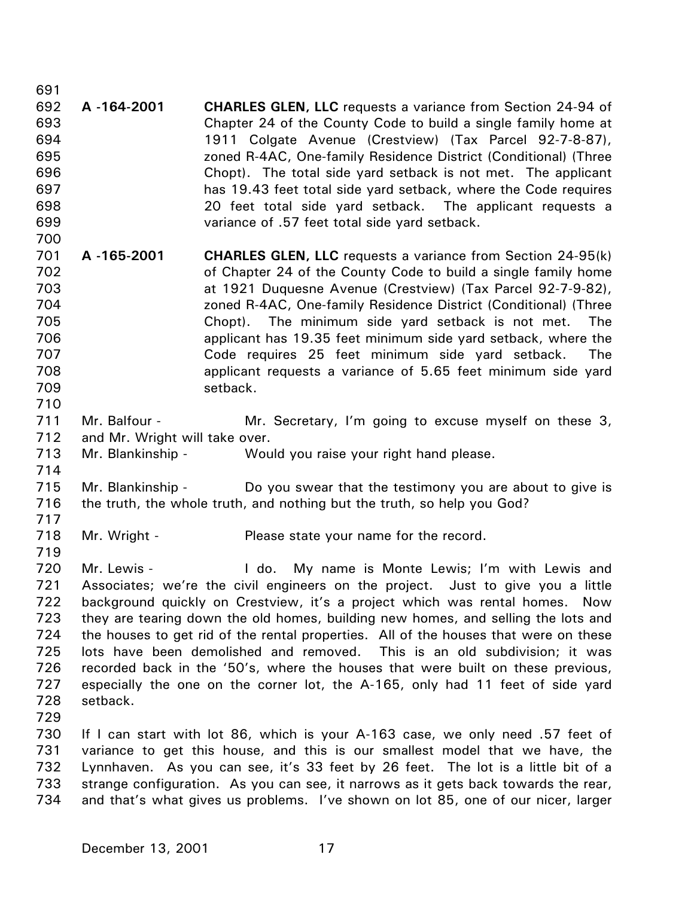691 692 693 694 695 696 697 698 699 700 701 702 703 704 705 706 707 708 709 710 711 712 713 714 715 716 717 718 719 720 721 722 723 724 725 726 727 728 729 730 731 732 733 **A -164-2001 CHARLES GLEN, LLC** requests a variance from Section 24-94 of Chapter 24 of the County Code to build a single family home at 1911 Colgate Avenue (Crestview) (Tax Parcel 92-7-8-87), zoned R-4AC, One-family Residence District (Conditional) (Three Chopt). The total side yard setback is not met. The applicant has 19.43 feet total side yard setback, where the Code requires 20 feet total side yard setback. The applicant requests a variance of .57 feet total side yard setback. **A -165-2001 CHARLES GLEN, LLC** requests a variance from Section 24-95(k) of Chapter 24 of the County Code to build a single family home at 1921 Duquesne Avenue (Crestview) (Tax Parcel 92-7-9-82), zoned R-4AC, One-family Residence District (Conditional) (Three Chopt). The minimum side yard setback is not met. The applicant has 19.35 feet minimum side yard setback, where the Code requires 25 feet minimum side yard setback. The applicant requests a variance of 5.65 feet minimum side yard setback. Mr. Balfour - The Mr. Secretary, I'm going to excuse myself on these 3, and Mr. Wright will take over. Mr. Blankinship - Would you raise your right hand please. Mr. Blankinship - Do you swear that the testimony you are about to give is the truth, the whole truth, and nothing but the truth, so help you God? Mr. Wright - Please state your name for the record. Mr. Lewis - The Lewis Holdo. My name is Monte Lewis; I'm with Lewis and Associates; we're the civil engineers on the project. Just to give you a little background quickly on Crestview, it's a project which was rental homes. Now they are tearing down the old homes, building new homes, and selling the lots and the houses to get rid of the rental properties. All of the houses that were on these lots have been demolished and removed. This is an old subdivision; it was recorded back in the '50's, where the houses that were built on these previous, especially the one on the corner lot, the A-165, only had 11 feet of side yard setback. If I can start with lot 86, which is your A-163 case, we only need .57 feet of variance to get this house, and this is our smallest model that we have, the Lynnhaven. As you can see, it's 33 feet by 26 feet. The lot is a little bit of a strange configuration. As you can see, it narrows as it gets back towards the rear,

734 and that's what gives us problems. I've shown on lot 85, one of our nicer, larger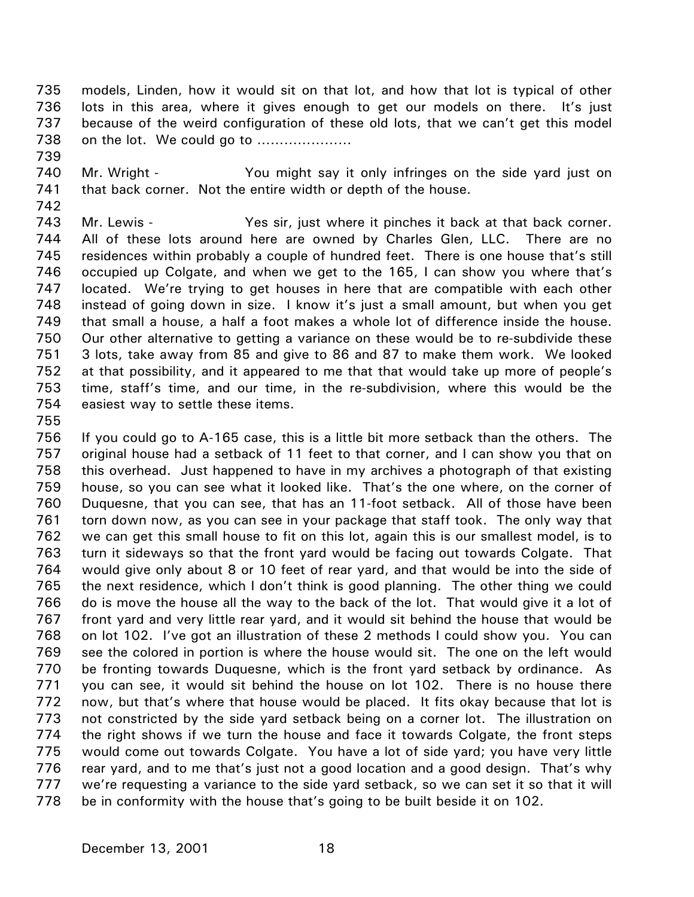735 736 737 738 models, Linden, how it would sit on that lot, and how that lot is typical of other lots in this area, where it gives enough to get our models on there. It's just because of the weird configuration of these old lots, that we can't get this model on the lot. We could go to …………………

- 739
- 740 741 Mr. Wright - The You might say it only infringes on the side yard just on that back corner. Not the entire width or depth of the house.
- 742

743 744 745 746 747 748 749 750 751 752 753 754 Mr. Lewis - The Yes sir, just where it pinches it back at that back corner. All of these lots around here are owned by Charles Glen, LLC. There are no residences within probably a couple of hundred feet. There is one house that's still occupied up Colgate, and when we get to the 165, I can show you where that's located. We're trying to get houses in here that are compatible with each other instead of going down in size. I know it's just a small amount, but when you get that small a house, a half a foot makes a whole lot of difference inside the house. Our other alternative to getting a variance on these would be to re-subdivide these 3 lots, take away from 85 and give to 86 and 87 to make them work. We looked at that possibility, and it appeared to me that that would take up more of people's time, staff's time, and our time, in the re-subdivision, where this would be the easiest way to settle these items.

755

756 757 758 759 760 761 762 763 764 765 766 767 768 769 770 771 772 773 774 775 776 777 778 If you could go to A-165 case, this is a little bit more setback than the others. The original house had a setback of 11 feet to that corner, and I can show you that on this overhead. Just happened to have in my archives a photograph of that existing house, so you can see what it looked like. That's the one where, on the corner of Duquesne, that you can see, that has an 11-foot setback. All of those have been torn down now, as you can see in your package that staff took. The only way that we can get this small house to fit on this lot, again this is our smallest model, is to turn it sideways so that the front yard would be facing out towards Colgate. That would give only about 8 or 10 feet of rear yard, and that would be into the side of the next residence, which I don't think is good planning. The other thing we could do is move the house all the way to the back of the lot. That would give it a lot of front yard and very little rear yard, and it would sit behind the house that would be on lot 102. I've got an illustration of these 2 methods I could show you. You can see the colored in portion is where the house would sit. The one on the left would be fronting towards Duquesne, which is the front yard setback by ordinance. As you can see, it would sit behind the house on lot 102. There is no house there now, but that's where that house would be placed. It fits okay because that lot is not constricted by the side yard setback being on a corner lot. The illustration on the right shows if we turn the house and face it towards Colgate, the front steps would come out towards Colgate. You have a lot of side yard; you have very little rear yard, and to me that's just not a good location and a good design. That's why we're requesting a variance to the side yard setback, so we can set it so that it will be in conformity with the house that's going to be built beside it on 102.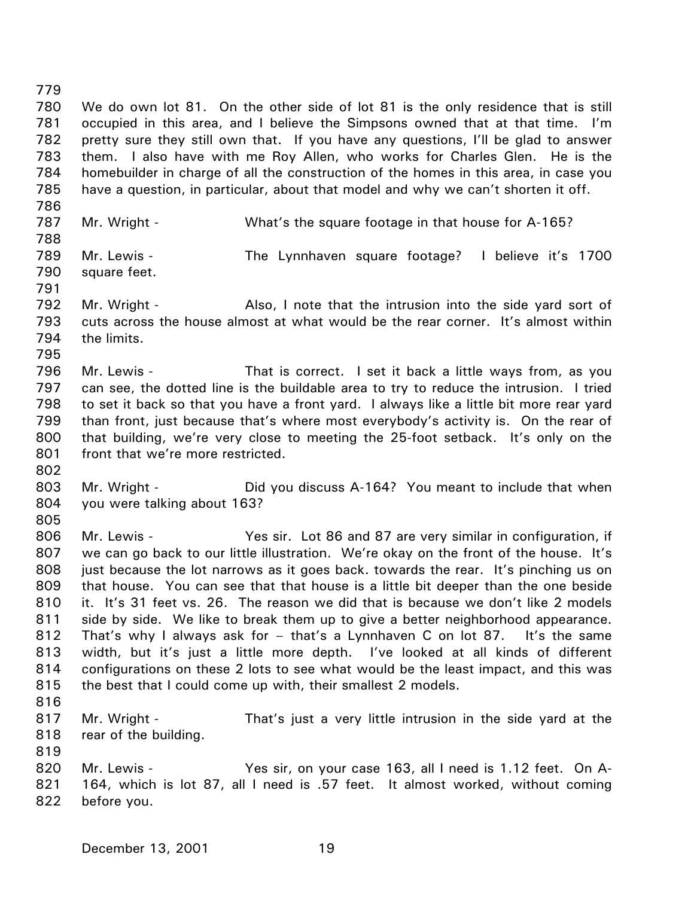779 780 781 782 783 784 785 786 787 788 789 790 791 792 793 794 795 796 797 798 799 800 801 802 803 804 805 806 807 808 809 810 811 812 813 814 815 816 817 818 819 820 821 822 We do own lot 81. On the other side of lot 81 is the only residence that is still occupied in this area, and I believe the Simpsons owned that at that time. I'm pretty sure they still own that. If you have any questions, I'll be glad to answer them. I also have with me Roy Allen, who works for Charles Glen. He is the homebuilder in charge of all the construction of the homes in this area, in case you have a question, in particular, about that model and why we can't shorten it off. Mr. Wright - What's the square footage in that house for A-165? Mr. Lewis - The Lynnhaven square footage? I believe it's 1700 square feet. Mr. Wright - Also, I note that the intrusion into the side yard sort of cuts across the house almost at what would be the rear corner. It's almost within the limits. Mr. Lewis - That is correct. I set it back a little ways from, as you can see, the dotted line is the buildable area to try to reduce the intrusion. I tried to set it back so that you have a front yard. I always like a little bit more rear yard than front, just because that's where most everybody's activity is. On the rear of that building, we're very close to meeting the 25-foot setback. It's only on the front that we're more restricted. Mr. Wright - The Did you discuss A-164? You meant to include that when you were talking about 163? Mr. Lewis - Yes sir. Lot 86 and 87 are very similar in configuration, if we can go back to our little illustration. We're okay on the front of the house. It's just because the lot narrows as it goes back. towards the rear. It's pinching us on that house. You can see that that house is a little bit deeper than the one beside it. It's 31 feet vs. 26. The reason we did that is because we don't like 2 models side by side. We like to break them up to give a better neighborhood appearance. That's why I always ask for – that's a Lynnhaven C on lot 87. It's the same width, but it's just a little more depth. I've looked at all kinds of different configurations on these 2 lots to see what would be the least impact, and this was the best that I could come up with, their smallest 2 models. Mr. Wright - That's just a very little intrusion in the side yard at the rear of the building. Mr. Lewis - The State of Yes sir, on your case 163, all I need is 1.12 feet. On A-164, which is lot 87, all I need is .57 feet. It almost worked, without coming before you.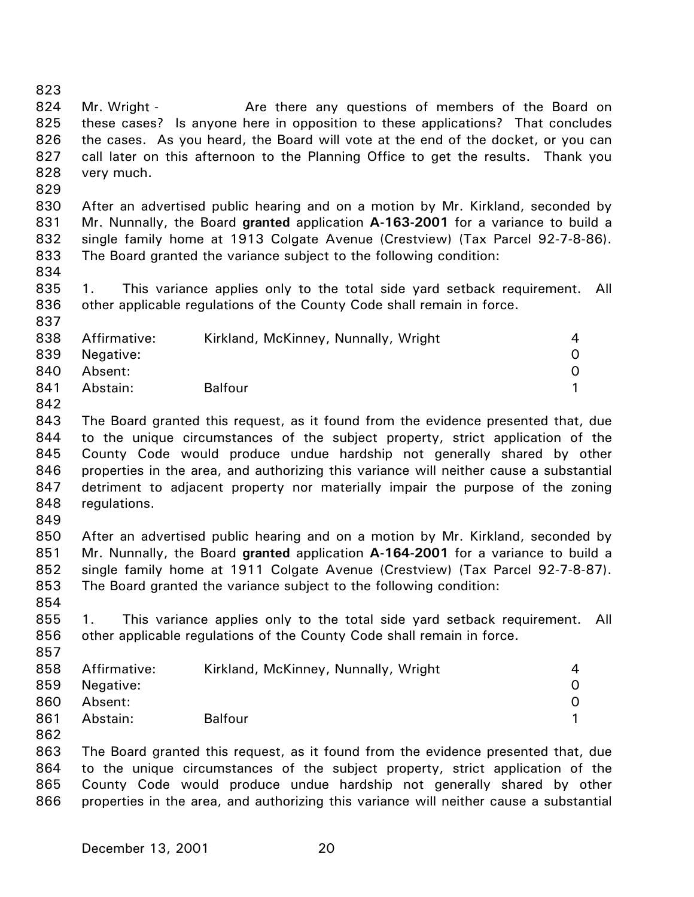825 826 827 828 829 830 831 832 833 834 835 836 837 838 839 840 841 842 843 844 845 846 847 848 849 850 851 852 853 854 855 856 857 858 859 860 861 862 863 864 865 866 these cases? Is anyone here in opposition to these applications? That concludes the cases. As you heard, the Board will vote at the end of the docket, or you can call later on this afternoon to the Planning Office to get the results. Thank you very much. After an advertised public hearing and on a motion by Mr. Kirkland, seconded by Mr. Nunnally, the Board **granted** application **A-163-2001** for a variance to build a single family home at 1913 Colgate Avenue (Crestview) (Tax Parcel 92-7-8-86). The Board granted the variance subject to the following condition: 1. This variance applies only to the total side yard setback requirement. All other applicable regulations of the County Code shall remain in force. Affirmative: Kirkland, McKinney, Nunnally, Wright 4 Negative: 0 Absent: 0 Abstain: Balfour **1** The Board granted this request, as it found from the evidence presented that, due to the unique circumstances of the subject property, strict application of the County Code would produce undue hardship not generally shared by other properties in the area, and authorizing this variance will neither cause a substantial detriment to adjacent property nor materially impair the purpose of the zoning regulations. After an advertised public hearing and on a motion by Mr. Kirkland, seconded by Mr. Nunnally, the Board **granted** application **A-164-2001** for a variance to build a single family home at 1911 Colgate Avenue (Crestview) (Tax Parcel 92-7-8-87). The Board granted the variance subject to the following condition: 1. This variance applies only to the total side yard setback requirement. All other applicable regulations of the County Code shall remain in force. Affirmative: Kirkland, McKinney, Nunnally, Wright 4 Negative: 0 Absent: 0 Abstain: Balfour **1** The Board granted this request, as it found from the evidence presented that, due to the unique circumstances of the subject property, strict application of the County Code would produce undue hardship not generally shared by other properties in the area, and authorizing this variance will neither cause a substantial

Mr. Wright - The Are there any questions of members of the Board on

823 824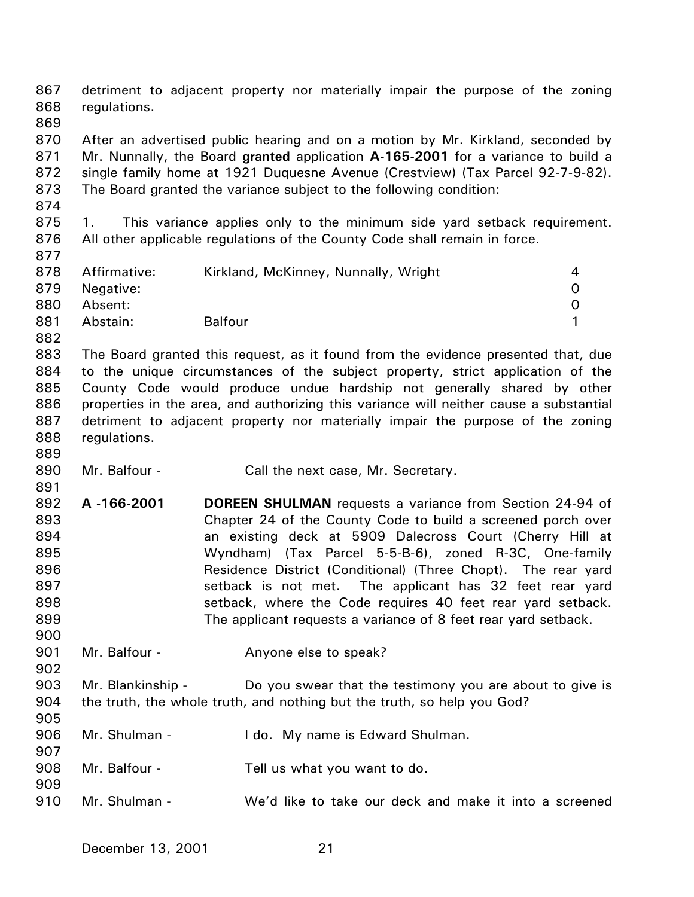867 868 869 870 871 872 873 874 875 876 877 878 879 880 881 882 883 884 885 886 887 888 889 890 891 892 893 894 895 896 897 898 899 900 901 902 903 904 905 906 907 908 909 detriment to adjacent property nor materially impair the purpose of the zoning regulations. After an advertised public hearing and on a motion by Mr. Kirkland, seconded by Mr. Nunnally, the Board **granted** application **A-165-2001** for a variance to build a single family home at 1921 Duquesne Avenue (Crestview) (Tax Parcel 92-7-9-82). The Board granted the variance subject to the following condition: 1. This variance applies only to the minimum side yard setback requirement. All other applicable regulations of the County Code shall remain in force. Affirmative: Kirkland, McKinney, Nunnally, Wright 4 Negative: 0 Absent: 0 Abstain: Balfour **1** The Board granted this request, as it found from the evidence presented that, due to the unique circumstances of the subject property, strict application of the County Code would produce undue hardship not generally shared by other properties in the area, and authorizing this variance will neither cause a substantial detriment to adjacent property nor materially impair the purpose of the zoning regulations. Mr. Balfour - Call the next case, Mr. Secretary. **A -166-2001 DOREEN SHULMAN** requests a variance from Section 24-94 of Chapter 24 of the County Code to build a screened porch over an existing deck at 5909 Dalecross Court (Cherry Hill at Wyndham) (Tax Parcel 5-5-B-6), zoned R-3C, One-family Residence District (Conditional) (Three Chopt). The rear yard setback is not met. The applicant has 32 feet rear yard setback, where the Code requires 40 feet rear yard setback. The applicant requests a variance of 8 feet rear yard setback. Mr. Balfour - The Anyone else to speak? Mr. Blankinship - Do you swear that the testimony you are about to give is the truth, the whole truth, and nothing but the truth, so help you God? Mr. Shulman - I do. My name is Edward Shulman. Mr. Balfour - Tell us what you want to do.

910 Mr. Shulman - We'd like to take our deck and make it into a screened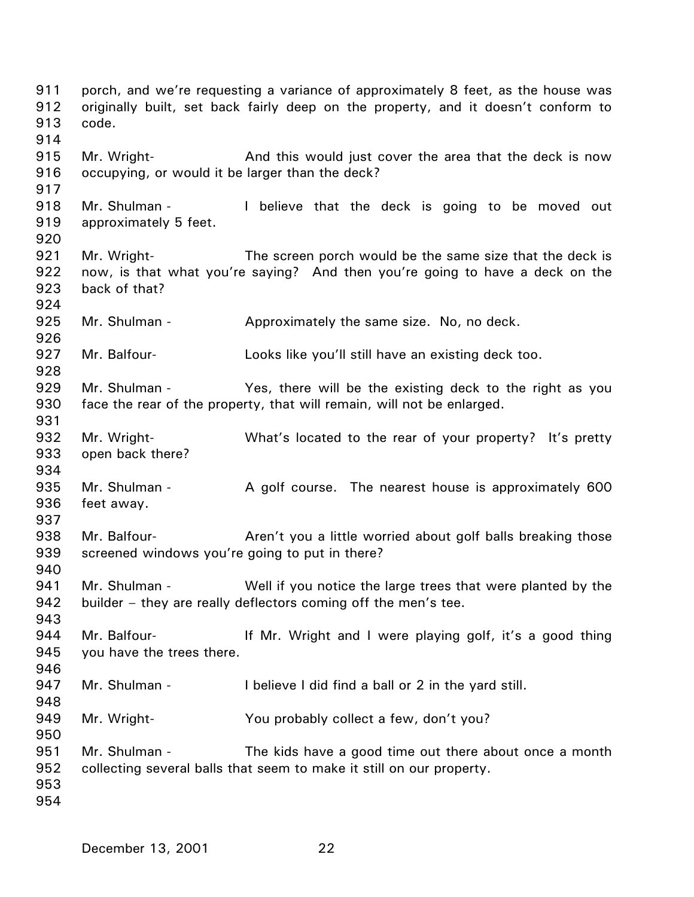porch, and we're requesting a variance of approximately 8 feet, as the house was originally built, set back fairly deep on the property, and it doesn't conform to code. Mr. Wright- **And this would just cover the area that the deck is now** occupying, or would it be larger than the deck? Mr. Shulman - The believe that the deck is going to be moved out approximately 5 feet. Mr. Wright- The screen porch would be the same size that the deck is now, is that what you're saying? And then you're going to have a deck on the back of that? Mr. Shulman - Approximately the same size. No, no deck. Mr. Balfour- **Looks like you'll still have an existing deck too.** Mr. Shulman - The Yes, there will be the existing deck to the right as you face the rear of the property, that will remain, will not be enlarged. Mr. Wright- What's located to the rear of your property? It's pretty open back there? Mr. Shulman - A golf course. The nearest house is approximately 600 feet away. Mr. Balfour- **Aren't you a little worried about golf balls breaking those** screened windows you're going to put in there? Mr. Shulman - Well if you notice the large trees that were planted by the builder – they are really deflectors coming off the men's tee. Mr. Balfour- **If Mr.** Wright and I were playing golf, it's a good thing you have the trees there. Mr. Shulman - I believe I did find a ball or 2 in the yard still. Mr. Wright- You probably collect a few, don't you? Mr. Shulman - The kids have a good time out there about once a month collecting several balls that seem to make it still on our property.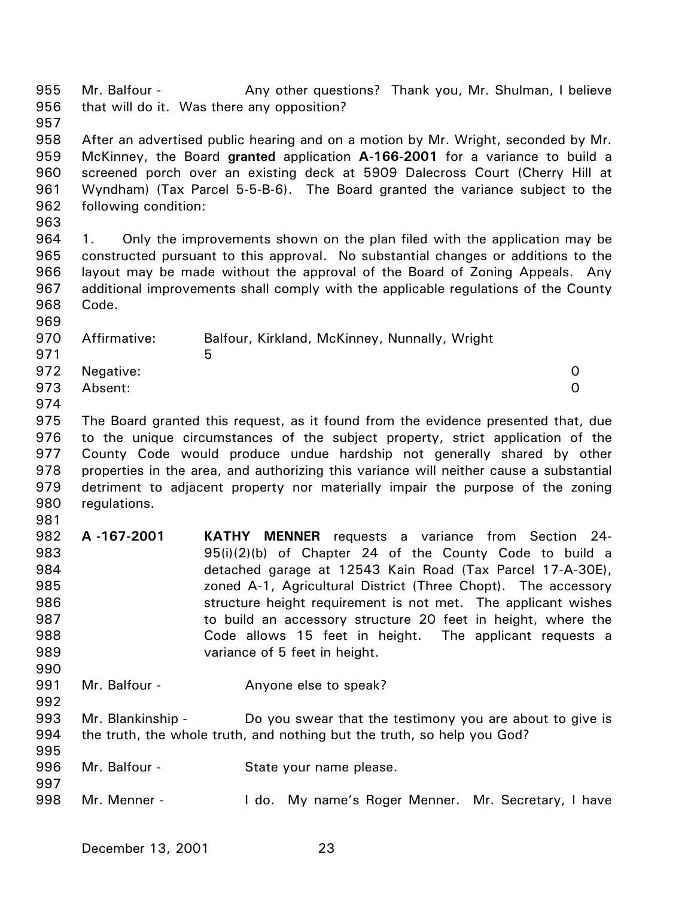955 956 957 958 959 960 961 962 963 964 965 966 967 968 969 970 971 972 973 974 975 976 977 978 979 980 981 982 983 984 985 986 987 988 989 990 991 992 993 994 995 996 997 998 Mr. Balfour - Any other questions? Thank you, Mr. Shulman, I believe that will do it. Was there any opposition? After an advertised public hearing and on a motion by Mr. Wright, seconded by Mr. McKinney, the Board **granted** application **A-166-2001** for a variance to build a screened porch over an existing deck at 5909 Dalecross Court (Cherry Hill at Wyndham) (Tax Parcel 5-5-B-6). The Board granted the variance subject to the following condition: 1. Only the improvements shown on the plan filed with the application may be constructed pursuant to this approval. No substantial changes or additions to the layout may be made without the approval of the Board of Zoning Appeals. Any additional improvements shall comply with the applicable regulations of the County Code. Affirmative: Balfour, Kirkland, McKinney, Nunnally, Wright  $\sim$  5 Negative: 0 Absent: 0 The Board granted this request, as it found from the evidence presented that, due to the unique circumstances of the subject property, strict application of the County Code would produce undue hardship not generally shared by other properties in the area, and authorizing this variance will neither cause a substantial detriment to adjacent property nor materially impair the purpose of the zoning regulations. **A -167-2001 KATHY MENNER** requests a variance from Section 24- 95(i)(2)(b) of Chapter 24 of the County Code to build a detached garage at 12543 Kain Road (Tax Parcel 17-A-30E), zoned A-1, Agricultural District (Three Chopt). The accessory structure height requirement is not met. The applicant wishes to build an accessory structure 20 feet in height, where the Code allows 15 feet in height. The applicant requests a variance of 5 feet in height. Mr. Balfour - The Anyone else to speak? Mr. Blankinship - Do you swear that the testimony you are about to give is the truth, the whole truth, and nothing but the truth, so help you God? Mr. Balfour - State your name please. Mr. Menner - The Letto. My name's Roger Menner. Mr. Secretary, I have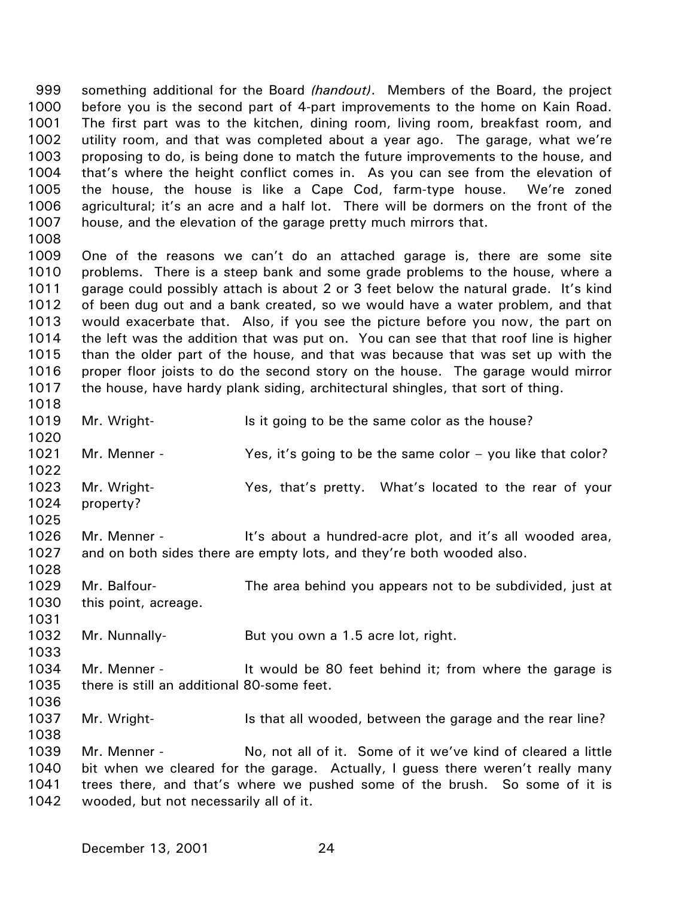something additional for the Board *(handout)*. Members of the Board, the project before you is the second part of 4-part improvements to the home on Kain Road. The first part was to the kitchen, dining room, living room, breakfast room, and utility room, and that was completed about a year ago. The garage, what we're proposing to do, is being done to match the future improvements to the house, and that's where the height conflict comes in. As you can see from the elevation of the house, the house is like a Cape Cod, farm-type house. We're zoned agricultural; it's an acre and a half lot. There will be dormers on the front of the house, and the elevation of the garage pretty much mirrors that. 999 1000 1001 1002 1003 1004 1005 1006 1007 1008

1009 1010 1011 1012 1013 1014 1015 1016 1017 One of the reasons we can't do an attached garage is, there are some site problems. There is a steep bank and some grade problems to the house, where a garage could possibly attach is about 2 or 3 feet below the natural grade. It's kind of been dug out and a bank created, so we would have a water problem, and that would exacerbate that. Also, if you see the picture before you now, the part on the left was the addition that was put on. You can see that that roof line is higher than the older part of the house, and that was because that was set up with the proper floor joists to do the second story on the house. The garage would mirror the house, have hardy plank siding, architectural shingles, that sort of thing.

1018

1025

1028

1031

1033

1038

1019 1020 Mr. Wright- **IS it going to be the same color as the house?** 

1021 Mr. Menner - The Yes, it's going to be the same color – you like that color?

1022 1023 1024 Mr. Wright- Yes, that's pretty. What's located to the rear of your property?

1026 1027 Mr. Menner - The It's about a hundred-acre plot, and it's all wooded area, and on both sides there are empty lots, and they're both wooded also.

1029 1030 Mr. Balfour- The area behind you appears not to be subdivided, just at this point, acreage.

1032 Mr. Nunnally-<br>But you own a 1.5 acre lot, right.

1034 1035 1036 Mr. Menner - The Mussill be 80 feet behind it; from where the garage is there is still an additional 80-some feet.

1037 Mr. Wright- Is that all wooded, between the garage and the rear line?

1039 1040 1041 1042 Mr. Menner - No, not all of it. Some of it we've kind of cleared a little bit when we cleared for the garage. Actually, I guess there weren't really many trees there, and that's where we pushed some of the brush. So some of it is wooded, but not necessarily all of it.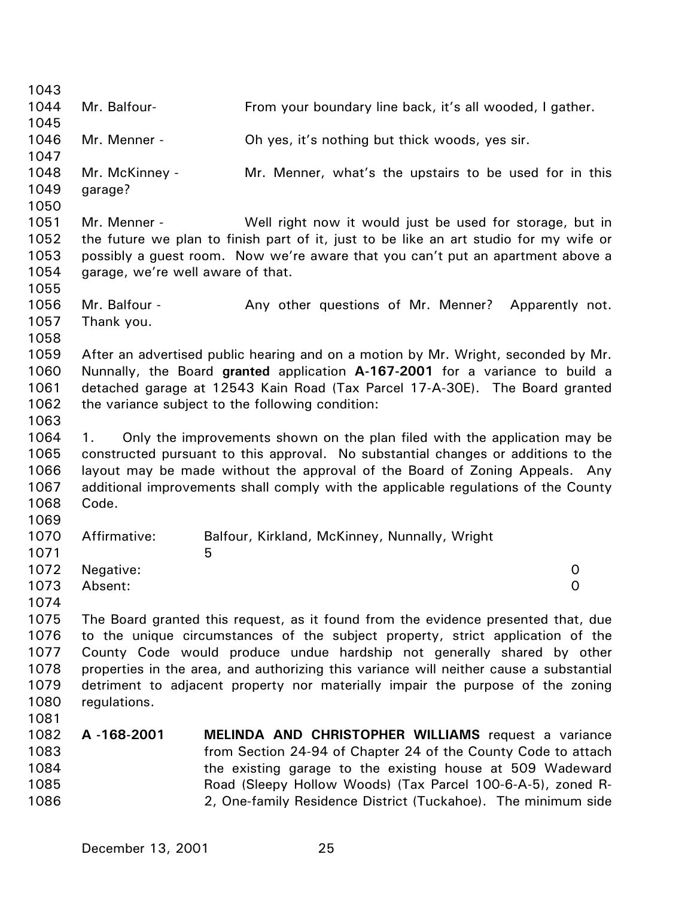1043 1044 1045 1046 1047 1048 1049 1050 1051 1052 1053 1054 1055 1056 1057 1058 1059 1060 1061 1062 1063 1064 1065 1066 1067 1068 1069 1070 1071 1072 1073 1074 1075 1076 1077 1078 1079 1080 1081 1082 1083 1084 1085 1086 Mr. Balfour- From your boundary line back, it's all wooded, I gather. Mr. Menner - Oh yes, it's nothing but thick woods, yes sir. Mr. McKinney - Mr. Menner, what's the upstairs to be used for in this garage? Mr. Menner - Well right now it would just be used for storage, but in the future we plan to finish part of it, just to be like an art studio for my wife or possibly a guest room. Now we're aware that you can't put an apartment above a garage, we're well aware of that. Mr. Balfour - The Any other questions of Mr. Menner? Apparently not. Thank you. After an advertised public hearing and on a motion by Mr. Wright, seconded by Mr. Nunnally, the Board **granted** application **A-167-2001** for a variance to build a detached garage at 12543 Kain Road (Tax Parcel 17-A-30E). The Board granted the variance subject to the following condition: 1. Only the improvements shown on the plan filed with the application may be constructed pursuant to this approval. No substantial changes or additions to the layout may be made without the approval of the Board of Zoning Appeals. Any additional improvements shall comply with the applicable regulations of the County Code. Affirmative: Balfour, Kirkland, McKinney, Nunnally, Wright  $\sim$  5 Negative: 0 Absent: 0 The Board granted this request, as it found from the evidence presented that, due to the unique circumstances of the subject property, strict application of the County Code would produce undue hardship not generally shared by other properties in the area, and authorizing this variance will neither cause a substantial detriment to adjacent property nor materially impair the purpose of the zoning regulations. **A -168-2001 MELINDA AND CHRISTOPHER WILLIAMS** request a variance from Section 24-94 of Chapter 24 of the County Code to attach the existing garage to the existing house at 509 Wadeward Road (Sleepy Hollow Woods) (Tax Parcel 100-6-A-5), zoned R-2, One-family Residence District (Tuckahoe). The minimum side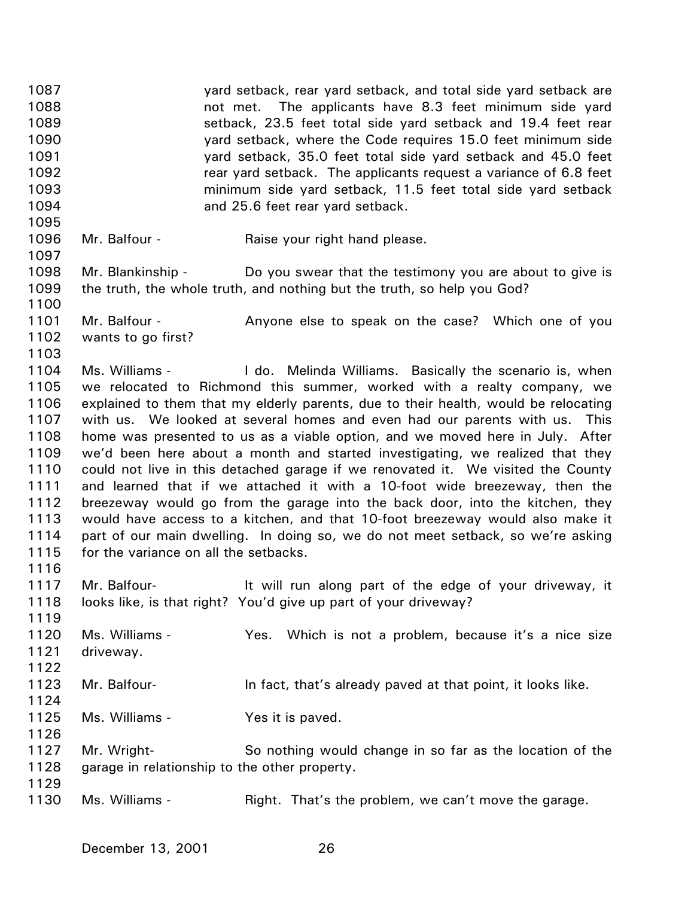1087 1088 1089 1090 1091 1092 1093 1094 1095 1096 1097 1098 1099 1100 1101 1102 1103 1104 1105 1106 1107 1108 1109 1110 1111 1112 1113 1114 1115 1116 1117 1118 1119 1120 1121 1122 1123 1124 1125 1126 1127 1128 1129 1130 yard setback, rear yard setback, and total side yard setback are not met. The applicants have 8.3 feet minimum side yard setback, 23.5 feet total side yard setback and 19.4 feet rear yard setback, where the Code requires 15.0 feet minimum side yard setback, 35.0 feet total side yard setback and 45.0 feet rear yard setback. The applicants request a variance of 6.8 feet minimum side yard setback, 11.5 feet total side yard setback and 25.6 feet rear yard setback. Mr. Balfour - Raise your right hand please. Mr. Blankinship - Do you swear that the testimony you are about to give is the truth, the whole truth, and nothing but the truth, so help you God? Mr. Balfour - Anyone else to speak on the case? Which one of you wants to go first? Ms. Williams - I do. Melinda Williams. Basically the scenario is, when we relocated to Richmond this summer, worked with a realty company, we explained to them that my elderly parents, due to their health, would be relocating with us. We looked at several homes and even had our parents with us. This home was presented to us as a viable option, and we moved here in July. After we'd been here about a month and started investigating, we realized that they could not live in this detached garage if we renovated it. We visited the County and learned that if we attached it with a 10-foot wide breezeway, then the breezeway would go from the garage into the back door, into the kitchen, they would have access to a kitchen, and that 10-foot breezeway would also make it part of our main dwelling. In doing so, we do not meet setback, so we're asking for the variance on all the setbacks. Mr. Balfour- It will run along part of the edge of your driveway, it looks like, is that right? You'd give up part of your driveway? Ms. Williams - The Yes. Which is not a problem, because it's a nice size driveway. Mr. Balfour- **In fact, that's already paved at that point, it looks like.** Ms. Williams - Yes it is paved. Mr. Wright- So nothing would change in so far as the location of the garage in relationship to the other property. Ms. Williams - Thight. That's the problem, we can't move the garage.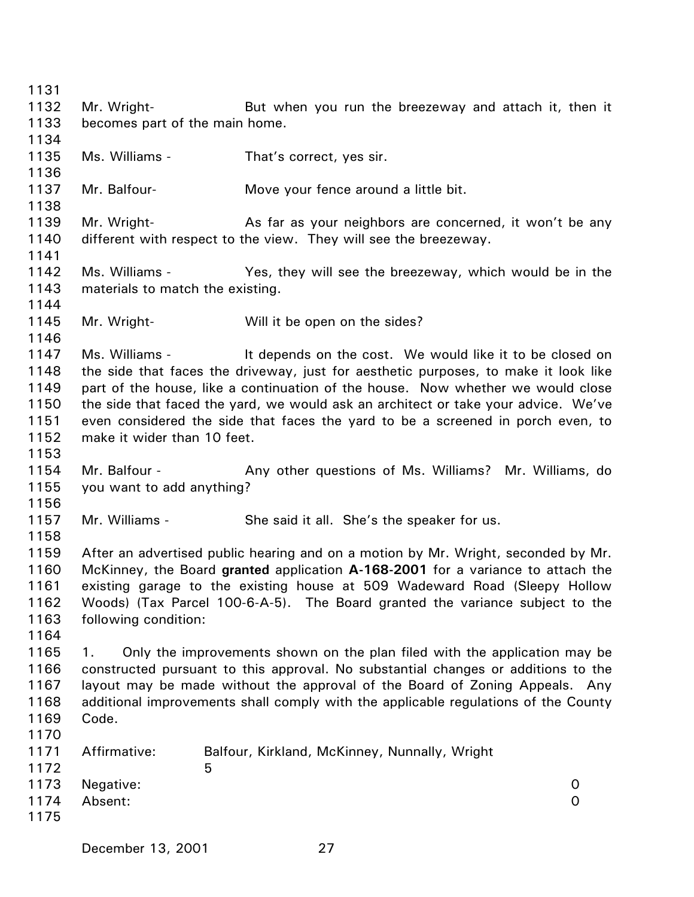1131 1132 1133 1134 1135 1136 1137 1138 1139 1140 1141 1142 1143 1144 1145 1146 1147 1148 1149 1150 1151 1152 1153 1154 1155 1156 1157 1158 1159 1160 1161 1162 1163 1164 1165 1166 1167 1168 1169 1170 1171 1172 1173 1174 1175 Mr. Wright- But when you run the breezeway and attach it, then it becomes part of the main home. Ms. Williams - That's correct, yes sir. Mr. Balfour-<br>
Move your fence around a little bit. Mr. Wright- **As far as your neighbors are concerned, it won't be any** different with respect to the view. They will see the breezeway. Ms. Williams - The Yes, they will see the breezeway, which would be in the materials to match the existing. Mr. Wright- Will it be open on the sides? Ms. Williams - It depends on the cost. We would like it to be closed on the side that faces the driveway, just for aesthetic purposes, to make it look like part of the house, like a continuation of the house. Now whether we would close the side that faced the yard, we would ask an architect or take your advice. We've even considered the side that faces the yard to be a screened in porch even, to make it wider than 10 feet. Mr. Balfour - Any other questions of Ms. Williams? Mr. Williams, do you want to add anything? Mr. Williams - She said it all. She's the speaker for us. After an advertised public hearing and on a motion by Mr. Wright, seconded by Mr. McKinney, the Board **granted** application **A-168-2001** for a variance to attach the existing garage to the existing house at 509 Wadeward Road (Sleepy Hollow Woods) (Tax Parcel 100-6-A-5). The Board granted the variance subject to the following condition: 1. Only the improvements shown on the plan filed with the application may be constructed pursuant to this approval. No substantial changes or additions to the layout may be made without the approval of the Board of Zoning Appeals. Any additional improvements shall comply with the applicable regulations of the County Code. Affirmative: Balfour, Kirkland, McKinney, Nunnally, Wright  $\sim$  5 Negative: 0 Absent: 0